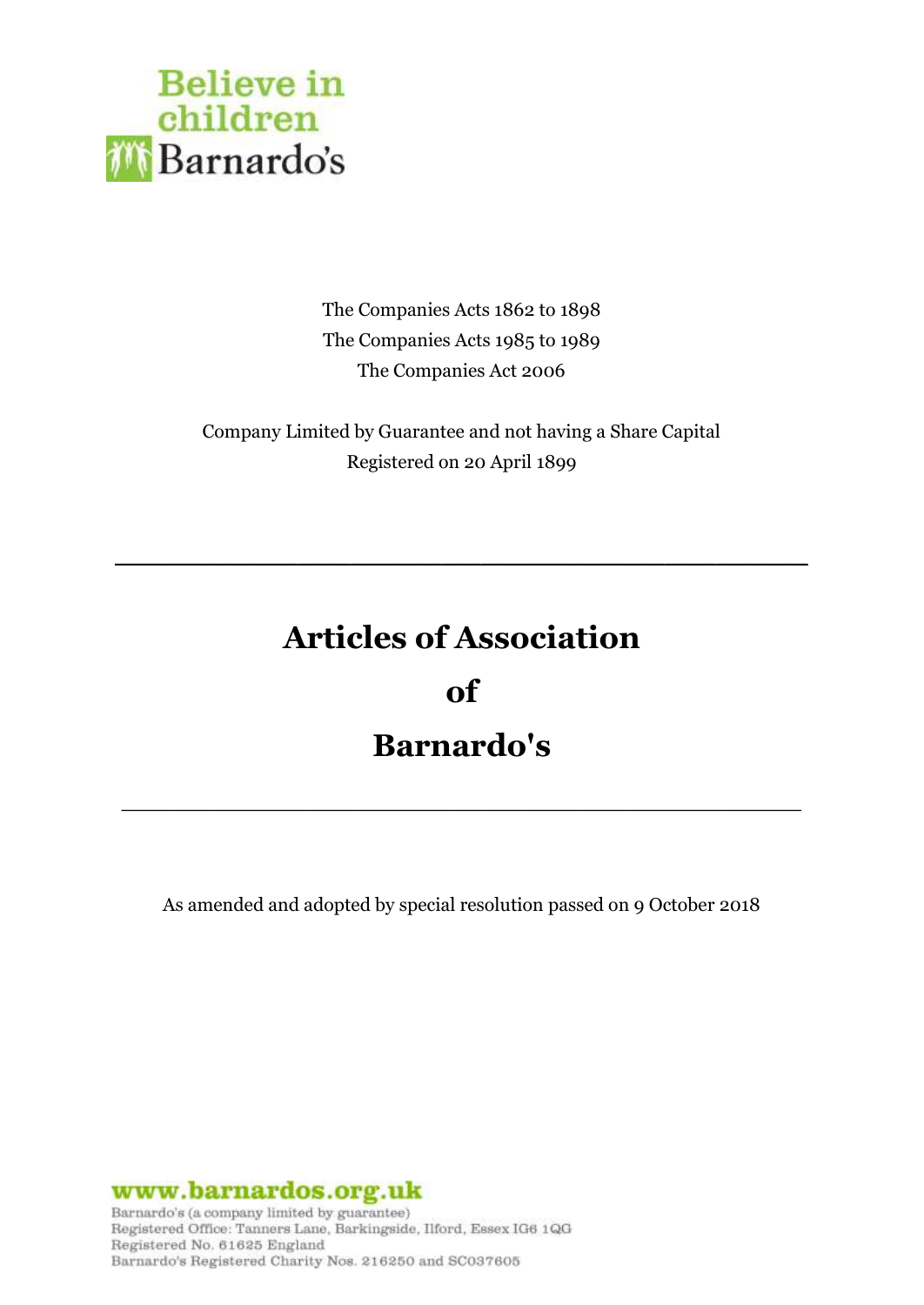

The Companies Acts 1862 to 1898 The Companies Acts 1985 to 1989 The Companies Act 2006

Company Limited by Guarantee and not having a Share Capital Registered on 20 April 1899

# **Articles of Association**

**\_\_\_\_\_\_\_\_\_\_\_\_\_\_\_\_\_\_\_\_\_\_\_\_\_\_\_\_\_\_\_\_\_\_\_\_\_\_\_\_\_\_\_\_\_\_\_\_\_\_\_\_\_**

**of**

# **Barnardo's**

**\_\_\_\_\_\_\_\_\_\_\_\_\_\_\_\_\_\_\_\_\_\_\_\_\_\_\_\_\_\_\_\_\_\_\_\_\_\_\_\_\_\_\_\_\_\_\_\_\_\_\_\_**

As amended and adopted by special resolution passed on 9 October 2018

www.barnardos.org.uk

Barnardo's (a company limited by guarantee) Registered Office: Tanners Lane, Barkingside, Ilford, Essex IG6 1QG Registered No. 61625 England Barnardo's Registered Charity Nos. 216250 and SC037605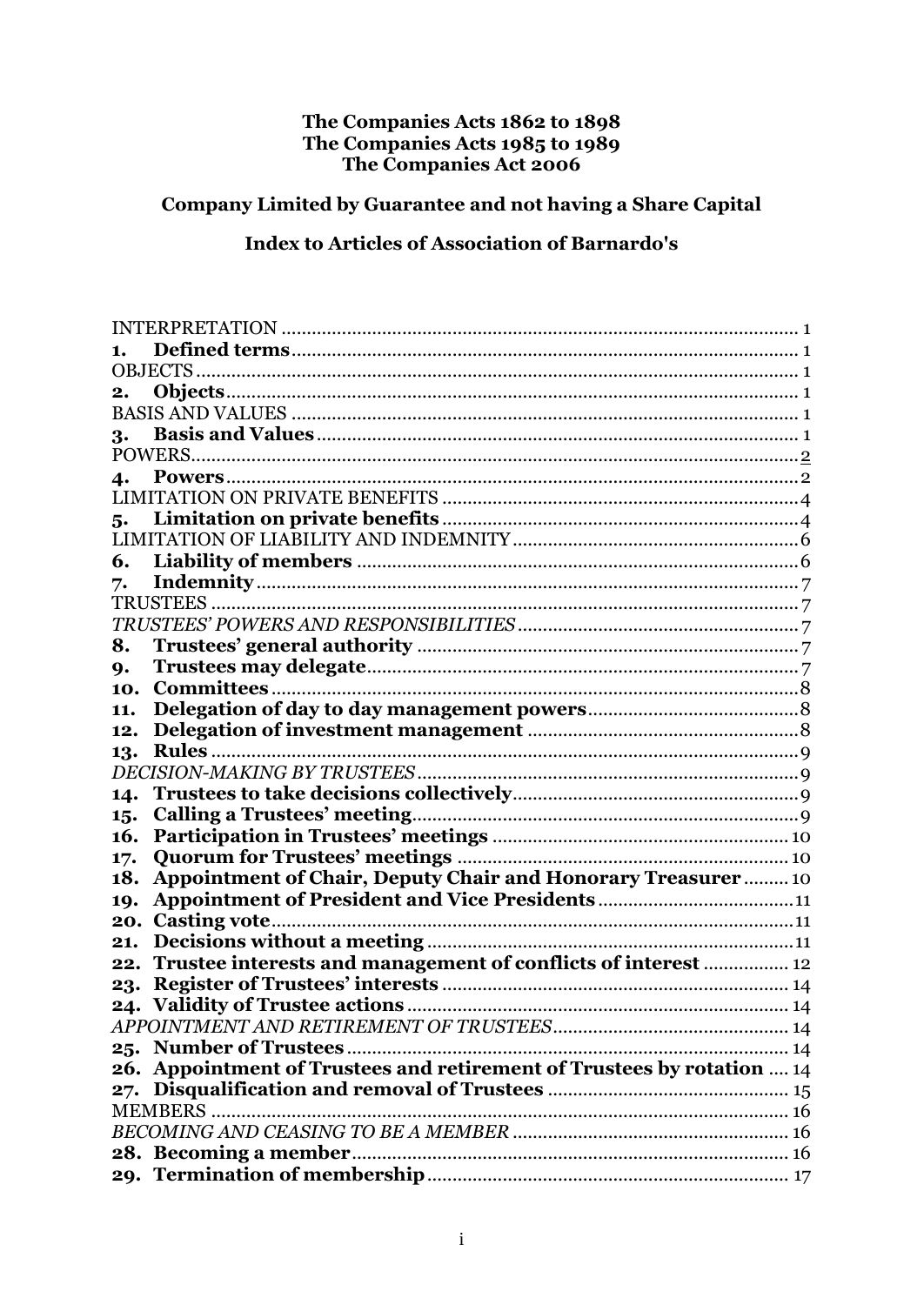# The Companies Acts 1862 to 1898<br>The Companies Acts 1985 to 1989<br>The Companies Act 2006

# Company Limited by Guarantee and not having a Share Capital

# **Index to Articles of Association of Barnardo's**

| 1.  |                                                                        |
|-----|------------------------------------------------------------------------|
|     |                                                                        |
| 2.  |                                                                        |
|     |                                                                        |
| 3.  |                                                                        |
|     |                                                                        |
| 4.  |                                                                        |
|     |                                                                        |
| 5.  |                                                                        |
|     |                                                                        |
| 6.  |                                                                        |
| 7.  |                                                                        |
|     | TRUSTEES .                                                             |
|     |                                                                        |
| 8.  |                                                                        |
| 9.  |                                                                        |
| 10. |                                                                        |
| 11. |                                                                        |
| 12. |                                                                        |
| 13. | Rules.                                                                 |
|     |                                                                        |
| 14. |                                                                        |
| 15. |                                                                        |
| 16. |                                                                        |
| 17. |                                                                        |
| 18. | <b>Appointment of Chair, Deputy Chair and Honorary Treasurer 10</b>    |
| 19. |                                                                        |
| 20. |                                                                        |
| 21. |                                                                        |
| 22. | Trustee interests and management of conflicts of interest  12          |
| 23. |                                                                        |
|     | 24. Validity of Trustee actions                                        |
|     |                                                                        |
|     |                                                                        |
|     | 26. Appointment of Trustees and retirement of Trustees by rotation  14 |
|     |                                                                        |
|     |                                                                        |
|     |                                                                        |
|     |                                                                        |
|     |                                                                        |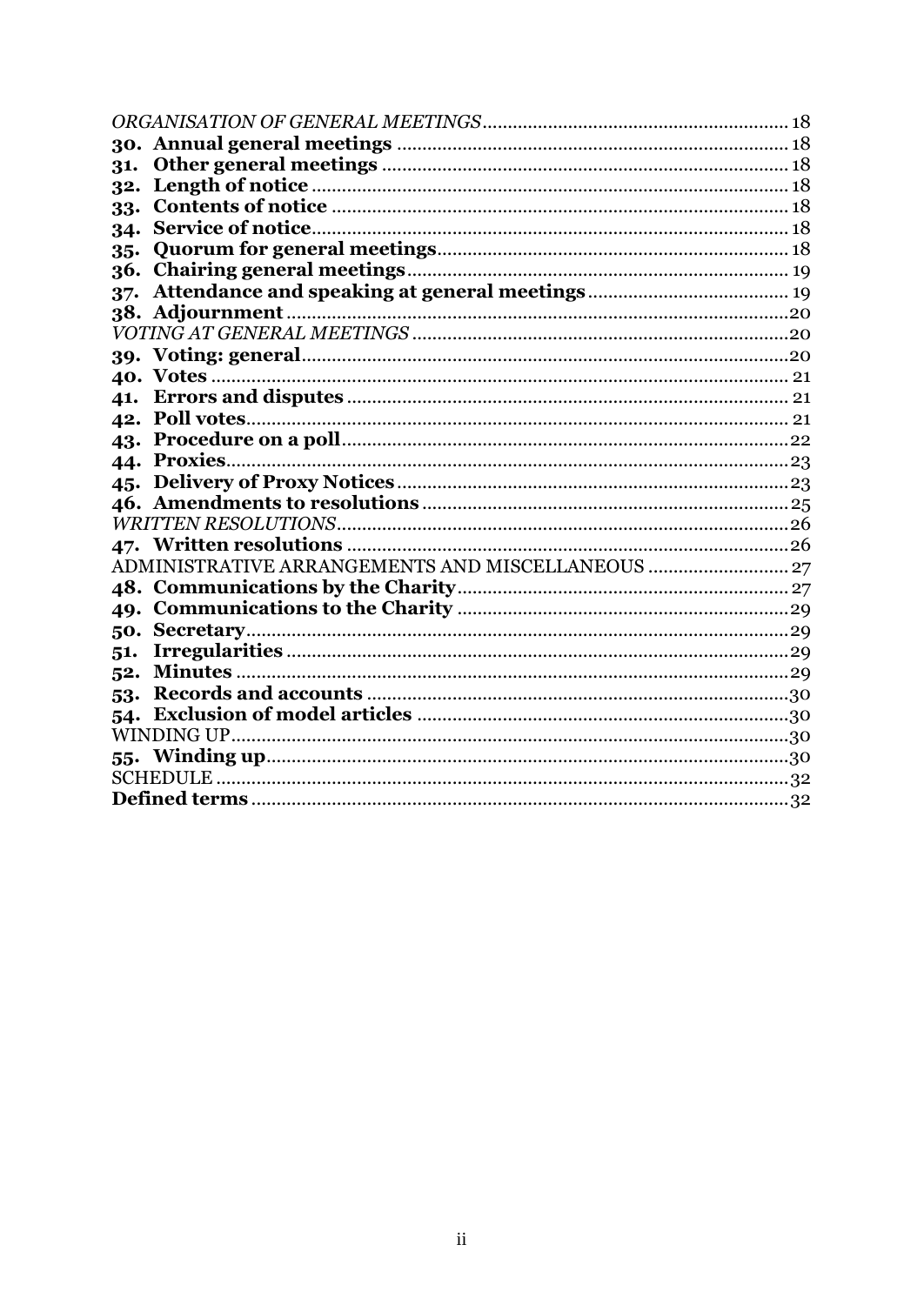| 31.   |                                                   |  |  |
|-------|---------------------------------------------------|--|--|
| 32.   |                                                   |  |  |
| 33.   |                                                   |  |  |
| 34.   |                                                   |  |  |
| $35-$ |                                                   |  |  |
| 36.   |                                                   |  |  |
| 37.   |                                                   |  |  |
|       |                                                   |  |  |
|       |                                                   |  |  |
|       |                                                   |  |  |
|       |                                                   |  |  |
| 41.   |                                                   |  |  |
|       |                                                   |  |  |
|       |                                                   |  |  |
|       |                                                   |  |  |
|       |                                                   |  |  |
|       |                                                   |  |  |
|       |                                                   |  |  |
|       |                                                   |  |  |
|       | ADMINISTRATIVE ARRANGEMENTS AND MISCELLANEOUS  27 |  |  |
|       |                                                   |  |  |
|       |                                                   |  |  |
|       |                                                   |  |  |
| 51.   |                                                   |  |  |
| 52.   |                                                   |  |  |
| 53.   |                                                   |  |  |
| 54.   |                                                   |  |  |
|       |                                                   |  |  |
| 55.   |                                                   |  |  |
|       |                                                   |  |  |
|       |                                                   |  |  |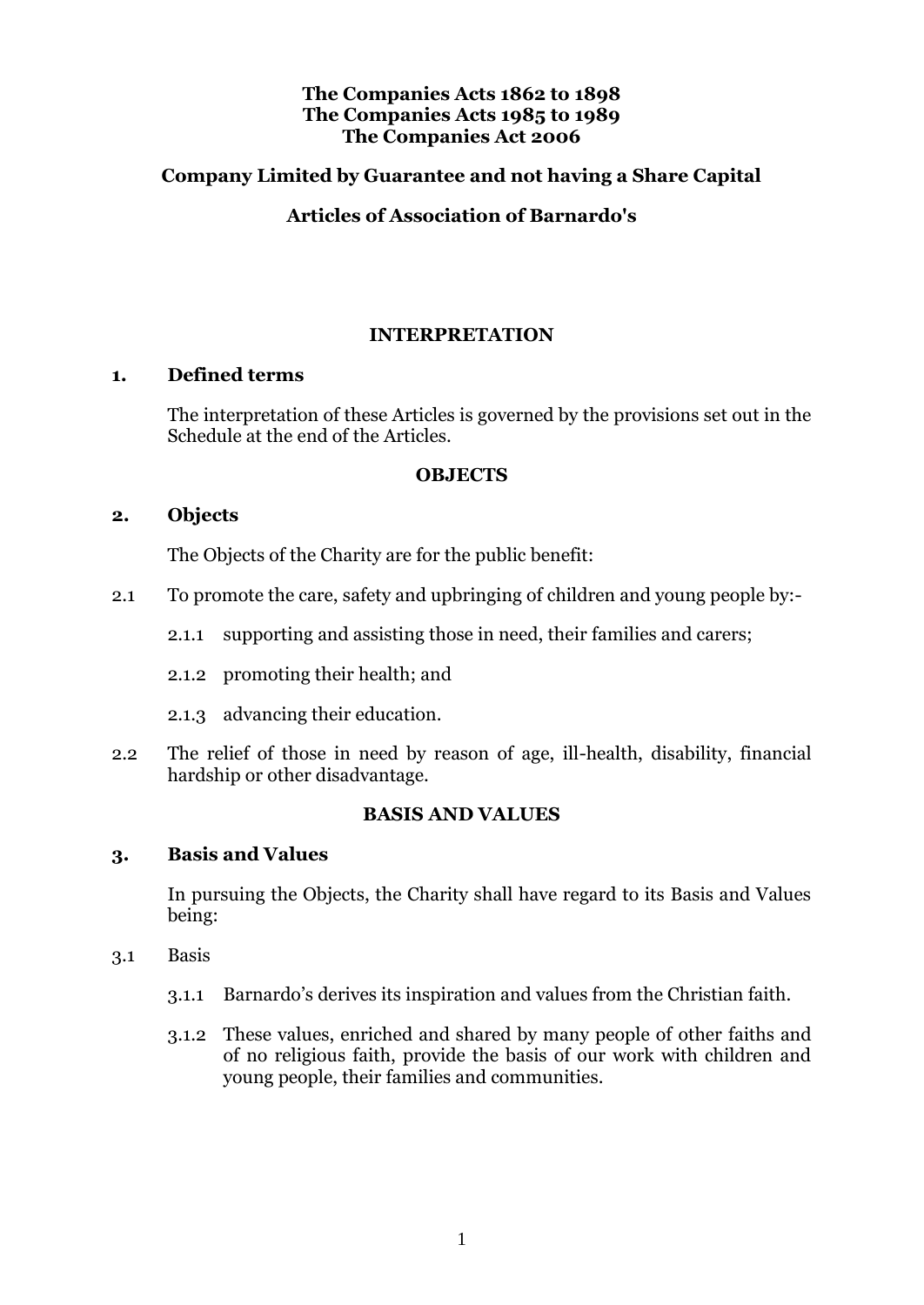# **The Companies Acts 1862 to 1898 The Companies Acts 1985 to 1989 The Companies Act 2006**

# **Company Limited by Guarantee and not having a Share Capital**

# **Articles of Association of Barnardo's**

# **INTERPRETATION**

### <span id="page-3-1"></span><span id="page-3-0"></span>**1. Defined terms**

The interpretation of these Articles is governed by the provisions set out in the Schedule at the end of the Articles.

#### **OBJECTS**

### <span id="page-3-3"></span><span id="page-3-2"></span>**2. Objects**

The Objects of the Charity are for the public benefit:

- 2.1 To promote the care, safety and upbringing of children and young people by:-
	- 2.1.1 supporting and assisting those in need, their families and carers;
	- 2.1.2 promoting their health; and
	- 2.1.3 advancing their education.
- 2.2 The relief of those in need by reason of age, ill-health, disability, financial hardship or other disadvantage.

# **BASIS AND VALUES**

### <span id="page-3-5"></span><span id="page-3-4"></span>**3. Basis and Values**

In pursuing the Objects, the Charity shall have regard to its Basis and Values being:

- 3.1 Basis
	- 3.1.1 Barnardo's derives its inspiration and values from the Christian faith.
	- 3.1.2 These values, enriched and shared by many people of other faiths and of no religious faith, provide the basis of our work with children and young people, their families and communities.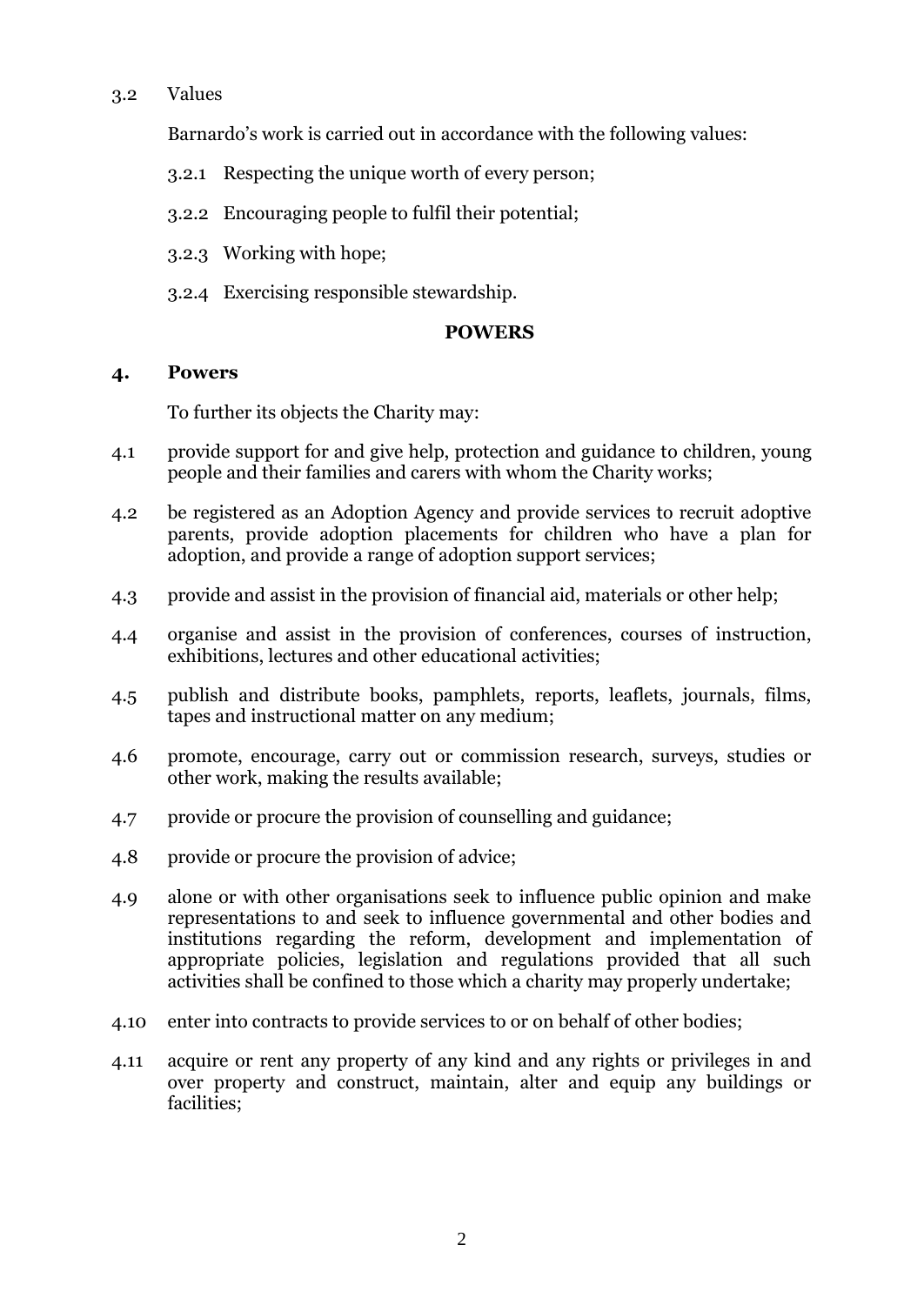# 3.2 Values

Barnardo's work is carried out in accordance with the following values:

- 3.2.1 Respecting the unique worth of every person;
- 3.2.2 Encouraging people to fulfil their potential;
- 3.2.3 Working with hope;
- 3.2.4 Exercising responsible stewardship.

### **POWERS**

### <span id="page-4-0"></span>**4. Powers**

To further its objects the Charity may:

- 4.1 provide support for and give help, protection and guidance to children, young people and their families and carers with whom the Charity works;
- 4.2 be registered as an Adoption Agency and provide services to recruit adoptive parents, provide adoption placements for children who have a plan for adoption, and provide a range of adoption support services;
- 4.3 provide and assist in the provision of financial aid, materials or other help;
- 4.4 organise and assist in the provision of conferences, courses of instruction, exhibitions, lectures and other educational activities;
- 4.5 publish and distribute books, pamphlets, reports, leaflets, journals, films, tapes and instructional matter on any medium;
- 4.6 promote, encourage, carry out or commission research, surveys, studies or other work, making the results available;
- 4.7 provide or procure the provision of counselling and guidance;
- 4.8 provide or procure the provision of advice;
- 4.9 alone or with other organisations seek to influence public opinion and make representations to and seek to influence governmental and other bodies and institutions regarding the reform, development and implementation of appropriate policies, legislation and regulations provided that all such activities shall be confined to those which a charity may properly undertake;
- 4.10 enter into contracts to provide services to or on behalf of other bodies;
- 4.11 acquire or rent any property of any kind and any rights or privileges in and over property and construct, maintain, alter and equip any buildings or facilities;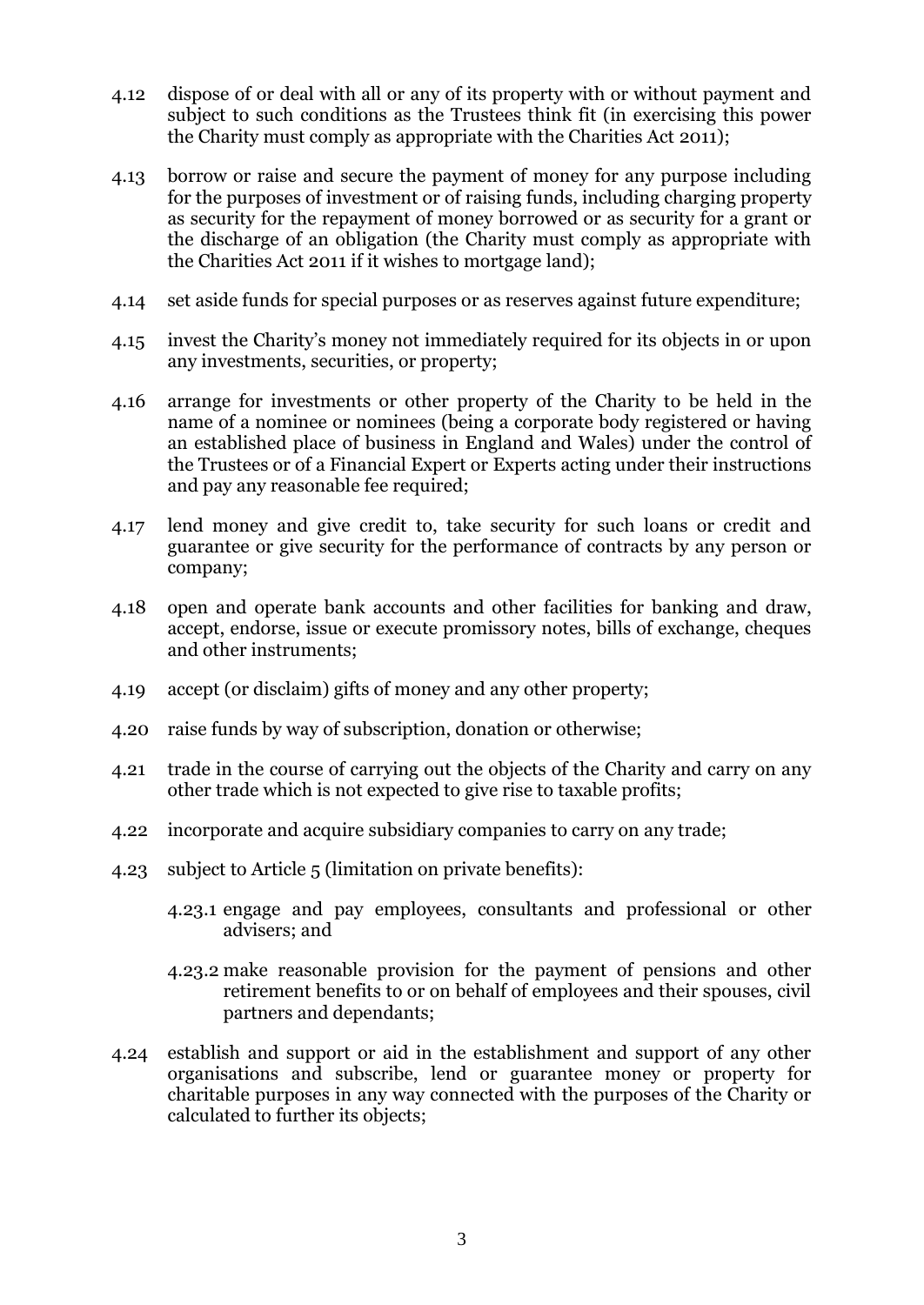- 4.12 dispose of or deal with all or any of its property with or without payment and subject to such conditions as the Trustees think fit (in exercising this power the Charity must comply as appropriate with the Charities Act 2011);
- 4.13 borrow or raise and secure the payment of money for any purpose including for the purposes of investment or of raising funds, including charging property as security for the repayment of money borrowed or as security for a grant or the discharge of an obligation (the Charity must comply as appropriate with the Charities Act 2011 if it wishes to mortgage land);
- 4.14 set aside funds for special purposes or as reserves against future expenditure;
- 4.15 invest the Charity's money not immediately required for its objects in or upon any investments, securities, or property;
- 4.16 arrange for investments or other property of the Charity to be held in the name of a nominee or nominees (being a corporate body registered or having an established place of business in England and Wales) under the control of the Trustees or of a Financial Expert or Experts acting under their instructions and pay any reasonable fee required;
- 4.17 lend money and give credit to, take security for such loans or credit and guarantee or give security for the performance of contracts by any person or company;
- 4.18 open and operate bank accounts and other facilities for banking and draw, accept, endorse, issue or execute promissory notes, bills of exchange, cheques and other instruments;
- 4.19 accept (or disclaim) gifts of money and any other property;
- 4.20 raise funds by way of subscription, donation or otherwise;
- 4.21 trade in the course of carrying out the objects of the Charity and carry on any other trade which is not expected to give rise to taxable profits;
- 4.22 incorporate and acquire subsidiary companies to carry on any trade;
- 4.23 subject to Article [5](#page-6-1) (limitation on private benefits):
	- 4.23.1 engage and pay employees, consultants and professional or other advisers; and
	- 4.23.2 make reasonable provision for the payment of pensions and other retirement benefits to or on behalf of employees and their spouses, civil partners and dependants;
- 4.24 establish and support or aid in the establishment and support of any other organisations and subscribe, lend or guarantee money or property for charitable purposes in any way connected with the purposes of the Charity or calculated to further its objects;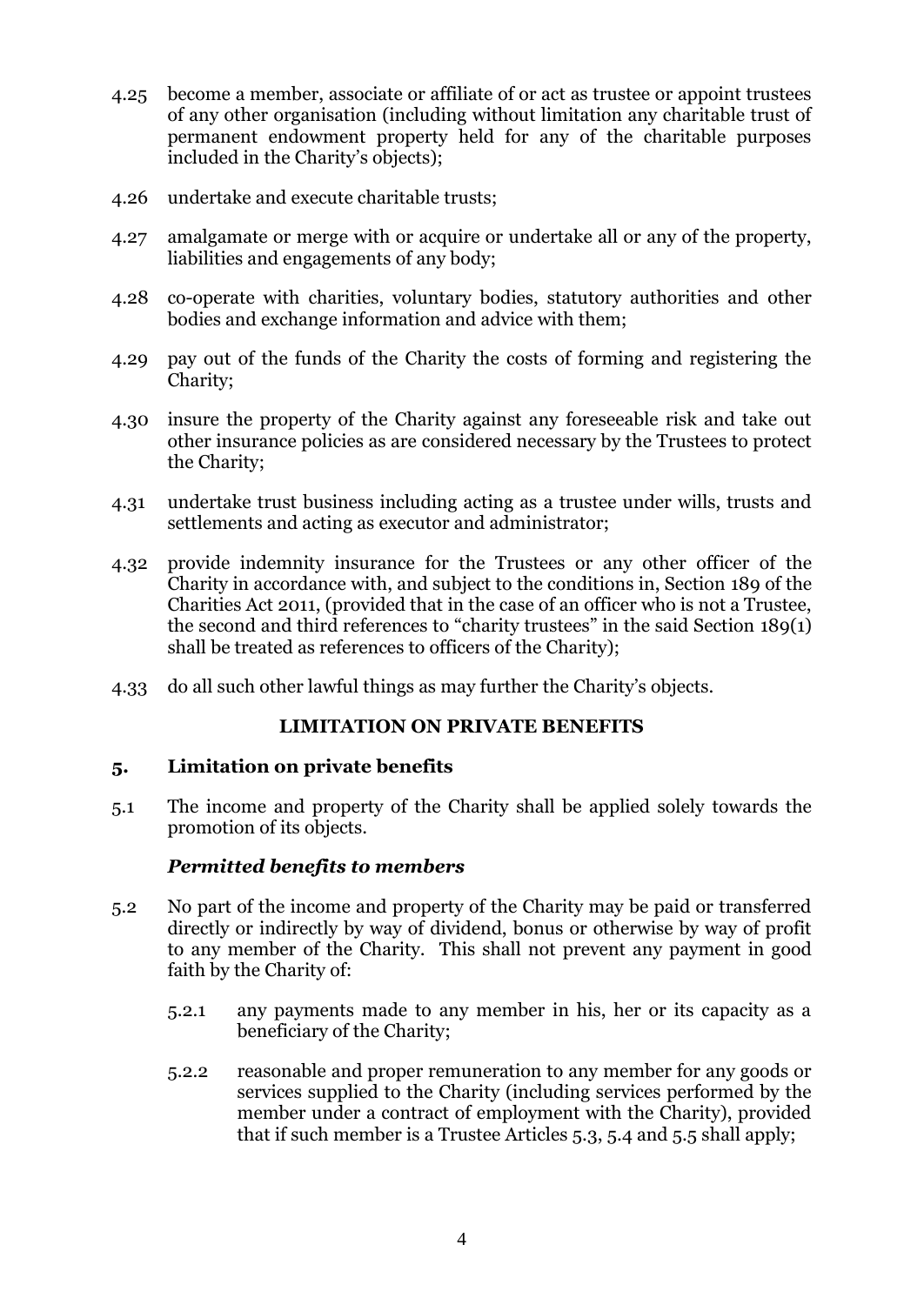- 4.25 become a member, associate or affiliate of or act as trustee or appoint trustees of any other organisation (including without limitation any charitable trust of permanent endowment property held for any of the charitable purposes included in the Charity's objects);
- 4.26 undertake and execute charitable trusts;
- 4.27 amalgamate or merge with or acquire or undertake all or any of the property, liabilities and engagements of any body;
- 4.28 co-operate with charities, voluntary bodies, statutory authorities and other bodies and exchange information and advice with them;
- 4.29 pay out of the funds of the Charity the costs of forming and registering the Charity;
- 4.30 insure the property of the Charity against any foreseeable risk and take out other insurance policies as are considered necessary by the Trustees to protect the Charity;
- 4.31 undertake trust business including acting as a trustee under wills, trusts and settlements and acting as executor and administrator;
- <span id="page-6-2"></span>4.32 provide indemnity insurance for the Trustees or any other officer of the Charity in accordance with, and subject to the conditions in, Section 189 of the Charities Act 2011, (provided that in the case of an officer who is not a Trustee, the second and third references to "charity trustees" in the said Section 189(1) shall be treated as references to officers of the Charity);
- 4.33 do all such other lawful things as may further the Charity's objects.

### **LIMITATION ON PRIVATE BENEFITS**

### <span id="page-6-1"></span><span id="page-6-0"></span>**5. Limitation on private benefits**

5.1 The income and property of the Charity shall be applied solely towards the promotion of its objects.

### *Permitted benefits to members*

- 5.2 No part of the income and property of the Charity may be paid or transferred directly or indirectly by way of dividend, bonus or otherwise by way of profit to any member of the Charity. This shall not prevent any payment in good faith by the Charity of:
	- 5.2.1 any payments made to any member in his, her or its capacity as a beneficiary of the Charity;
	- 5.2.2 reasonable and proper remuneration to any member for any goods or services supplied to the Charity (including services performed by the member under a contract of employment with the Charity), provided that if such member is a Trustee Articles [5.3,](#page-7-0) [5.4](#page-7-1) and [5.5](#page-8-2) shall apply;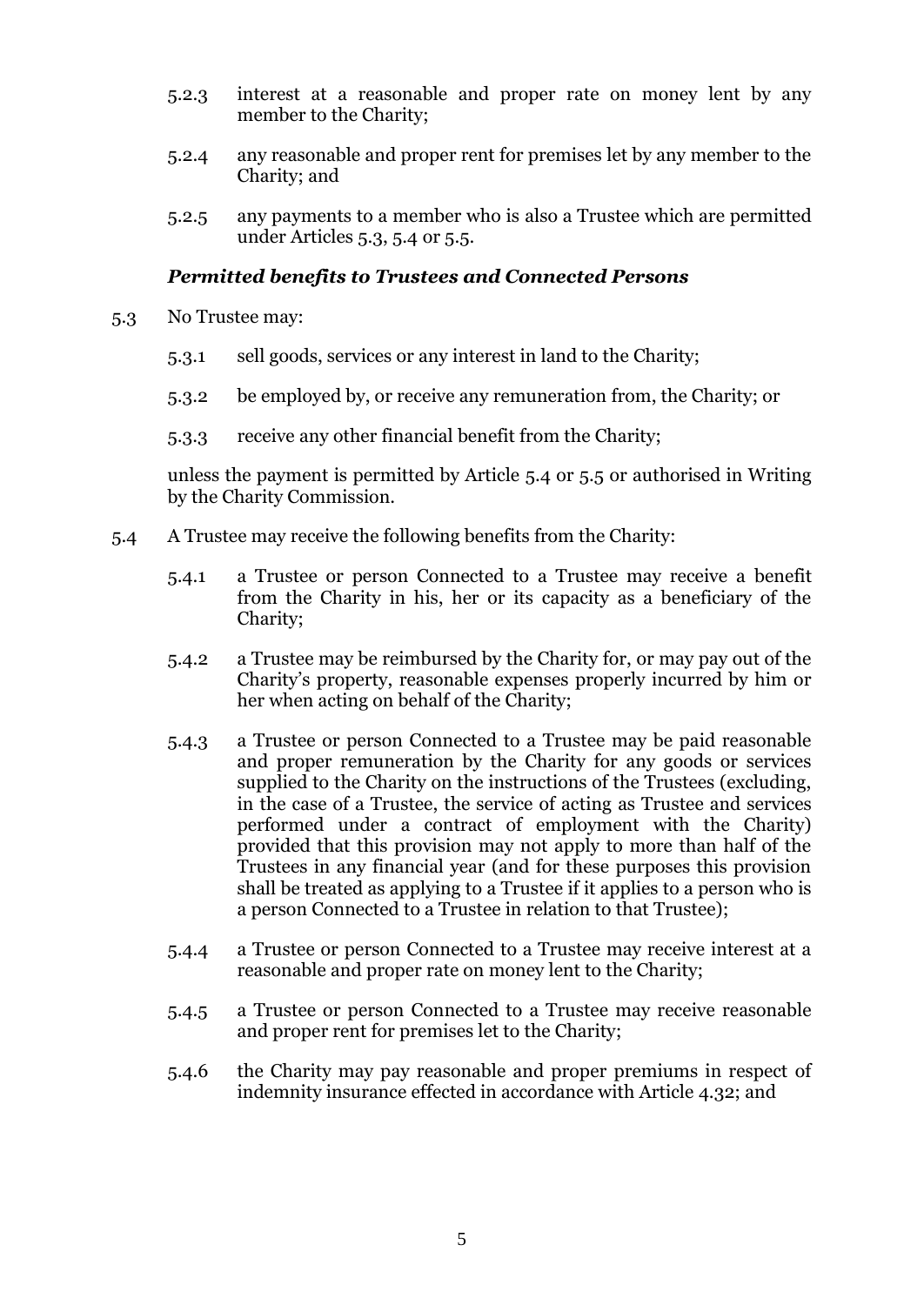- 5.2.3 interest at a reasonable and proper rate on money lent by any member to the Charity;
- 5.2.4 any reasonable and proper rent for premises let by any member to the Charity; and
- 5.2.5 any payments to a member who is also a Trustee which are permitted under Articles [5.3,](#page-7-0) [5.4](#page-7-1) or [5.5.](#page-8-2)

#### *Permitted benefits to Trustees and Connected Persons*

- <span id="page-7-0"></span>5.3 No Trustee may:
	- 5.3.1 sell goods, services or any interest in land to the Charity;
	- 5.3.2 be employed by, or receive any remuneration from, the Charity; or
	- 5.3.3 receive any other financial benefit from the Charity;

unless the payment is permitted by Article [5.4](#page-7-1) or [5.5](#page-8-2) or authorised in Writing by the Charity Commission.

- <span id="page-7-4"></span><span id="page-7-3"></span><span id="page-7-2"></span><span id="page-7-1"></span>5.4 A Trustee may receive the following benefits from the Charity:
	- 5.4.1 a Trustee or person Connected to a Trustee may receive a benefit from the Charity in his, her or its capacity as a beneficiary of the Charity;
	- 5.4.2 a Trustee may be reimbursed by the Charity for, or may pay out of the Charity's property, reasonable expenses properly incurred by him or her when acting on behalf of the Charity;
	- 5.4.3 a Trustee or person Connected to a Trustee may be paid reasonable and proper remuneration by the Charity for any goods or services supplied to the Charity on the instructions of the Trustees (excluding, in the case of a Trustee, the service of acting as Trustee and services performed under a contract of employment with the Charity) provided that this provision may not apply to more than half of the Trustees in any financial year (and for these purposes this provision shall be treated as applying to a Trustee if it applies to a person who is a person Connected to a Trustee in relation to that Trustee);
	- 5.4.4 a Trustee or person Connected to a Trustee may receive interest at a reasonable and proper rate on money lent to the Charity;
	- 5.4.5 a Trustee or person Connected to a Trustee may receive reasonable and proper rent for premises let to the Charity;
	- 5.4.6 the Charity may pay reasonable and proper premiums in respect of indemnity insurance effected in accordance with Article [4.32;](#page-6-2) and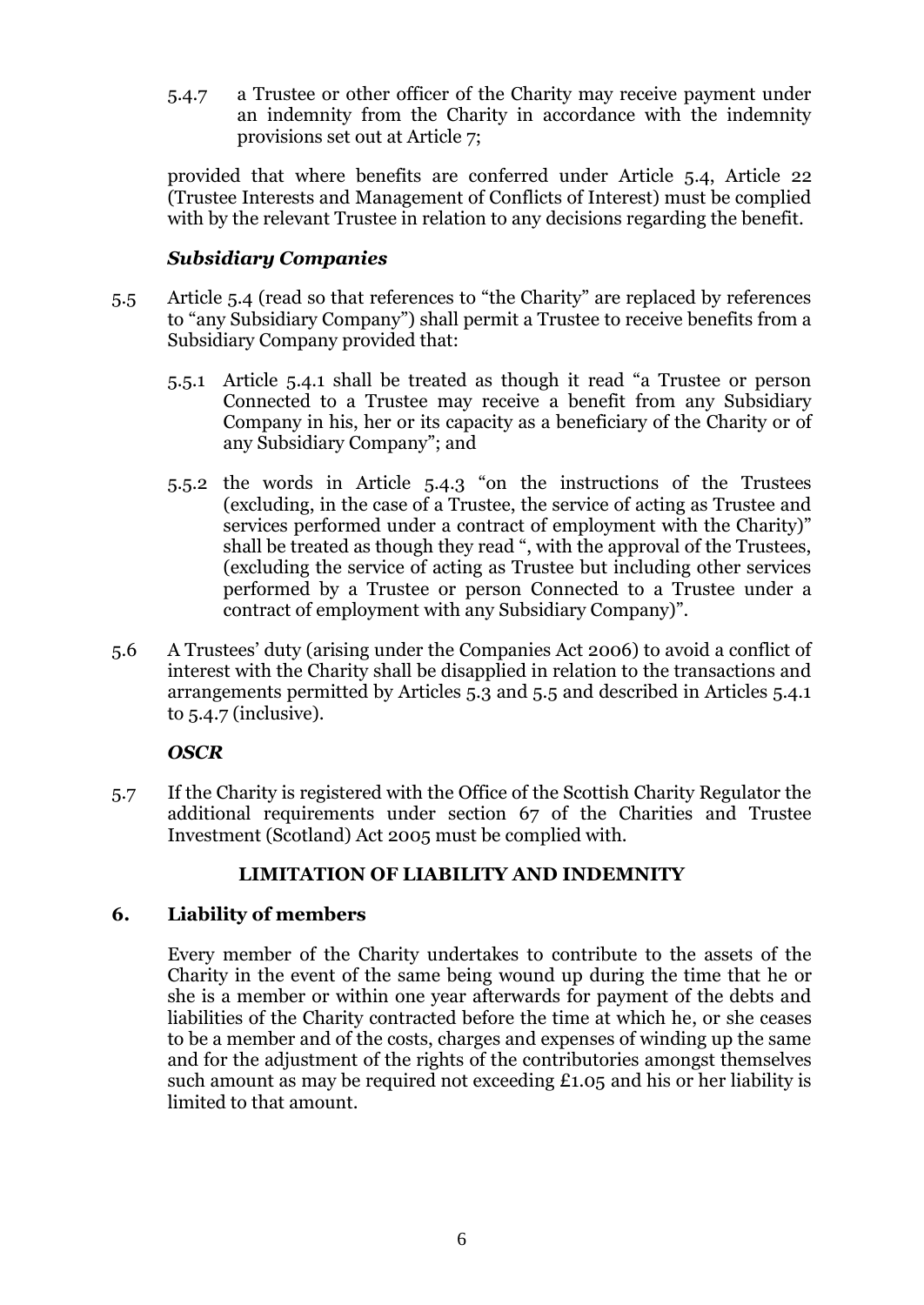5.4.7 a Trustee or other officer of the Charity may receive payment under an indemnity from the Charity in accordance with the indemnity provisions set out at Article [7;](#page-9-0)

provided that where benefits are conferred under Article [5.4,](#page-7-1) Article [22](#page-14-0) (Trustee Interests and Management of Conflicts of Interest) must be complied with by the relevant Trustee in relation to any decisions regarding the benefit.

# *Subsidiary Companies*

- <span id="page-8-2"></span>5.5 Article [5.4](#page-7-1) (read so that references to "the Charity" are replaced by references to "any Subsidiary Company") shall permit a Trustee to receive benefits from a Subsidiary Company provided that:
	- 5.5.1 Article [5.4.1](#page-7-2) shall be treated as though it read "a Trustee or person Connected to a Trustee may receive a benefit from any Subsidiary Company in his, her or its capacity as a beneficiary of the Charity or of any Subsidiary Company"; and
	- 5.5.2 the words in Article [5.4.3](#page-7-3) "on the instructions of the Trustees (excluding, in the case of a Trustee, the service of acting as Trustee and services performed under a contract of employment with the Charity)" shall be treated as though they read ", with the approval of the Trustees, (excluding the service of acting as Trustee but including other services performed by a Trustee or person Connected to a Trustee under a contract of employment with any Subsidiary Company)".
- 5.6 A Trustees' duty (arising under the Companies Act 2006) to avoid a conflict of interest with the Charity shall be disapplied in relation to the transactions and arrangements permitted by Articles 5.3 and 5.5 and described in Articles 5.4.1 to 5.4.7 (inclusive).

# *OSCR*

5.7 If the Charity is registered with the Office of the Scottish Charity Regulator the additional requirements under section 67 of the Charities and Trustee Investment (Scotland) Act 2005 must be complied with.

### **LIMITATION OF LIABILITY AND INDEMNITY**

### <span id="page-8-1"></span><span id="page-8-0"></span>**6. Liability of members**

Every member of the Charity undertakes to contribute to the assets of the Charity in the event of the same being wound up during the time that he or she is a member or within one year afterwards for payment of the debts and liabilities of the Charity contracted before the time at which he, or she ceases to be a member and of the costs, charges and expenses of winding up the same and for the adjustment of the rights of the contributories amongst themselves such amount as may be required not exceeding £1.05 and his or her liability is limited to that amount.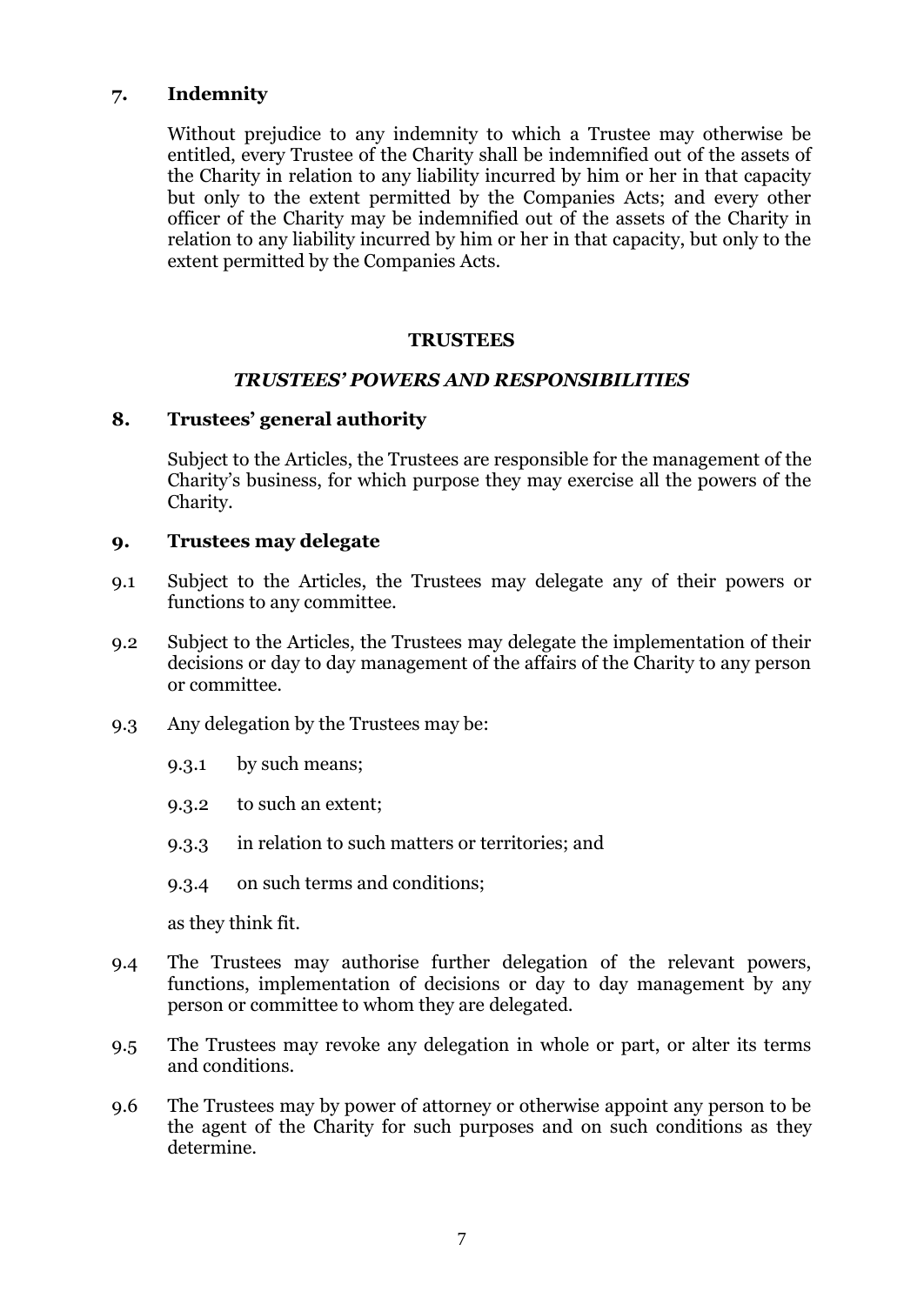# <span id="page-9-0"></span>**7. Indemnity**

Without prejudice to any indemnity to which a Trustee may otherwise be entitled, every Trustee of the Charity shall be indemnified out of the assets of the Charity in relation to any liability incurred by him or her in that capacity but only to the extent permitted by the Companies Acts; and every other officer of the Charity may be indemnified out of the assets of the Charity in relation to any liability incurred by him or her in that capacity, but only to the extent permitted by the Companies Acts.

#### **TRUSTEES**

#### *TRUSTEES' POWERS AND RESPONSIBILITIES*

#### <span id="page-9-3"></span><span id="page-9-2"></span><span id="page-9-1"></span>**8. Trustees' general authority**

Subject to the Articles, the Trustees are responsible for the management of the Charity's business, for which purpose they may exercise all the powers of the Charity.

#### <span id="page-9-4"></span>**9. Trustees may delegate**

- 9.1 Subject to the Articles, the Trustees may delegate any of their powers or functions to any committee.
- 9.2 Subject to the Articles, the Trustees may delegate the implementation of their decisions or day to day management of the affairs of the Charity to any person or committee.
- 9.3 Any delegation by the Trustees may be:
	- 9.3.1 by such means;
	- 9.3.2 to such an extent;
	- 9.3.3 in relation to such matters or territories; and
	- 9.3.4 on such terms and conditions;

as they think fit.

- 9.4 The Trustees may authorise further delegation of the relevant powers, functions, implementation of decisions or day to day management by any person or committee to whom they are delegated.
- 9.5 The Trustees may revoke any delegation in whole or part, or alter its terms and conditions.
- 9.6 The Trustees may by power of attorney or otherwise appoint any person to be the agent of the Charity for such purposes and on such conditions as they determine.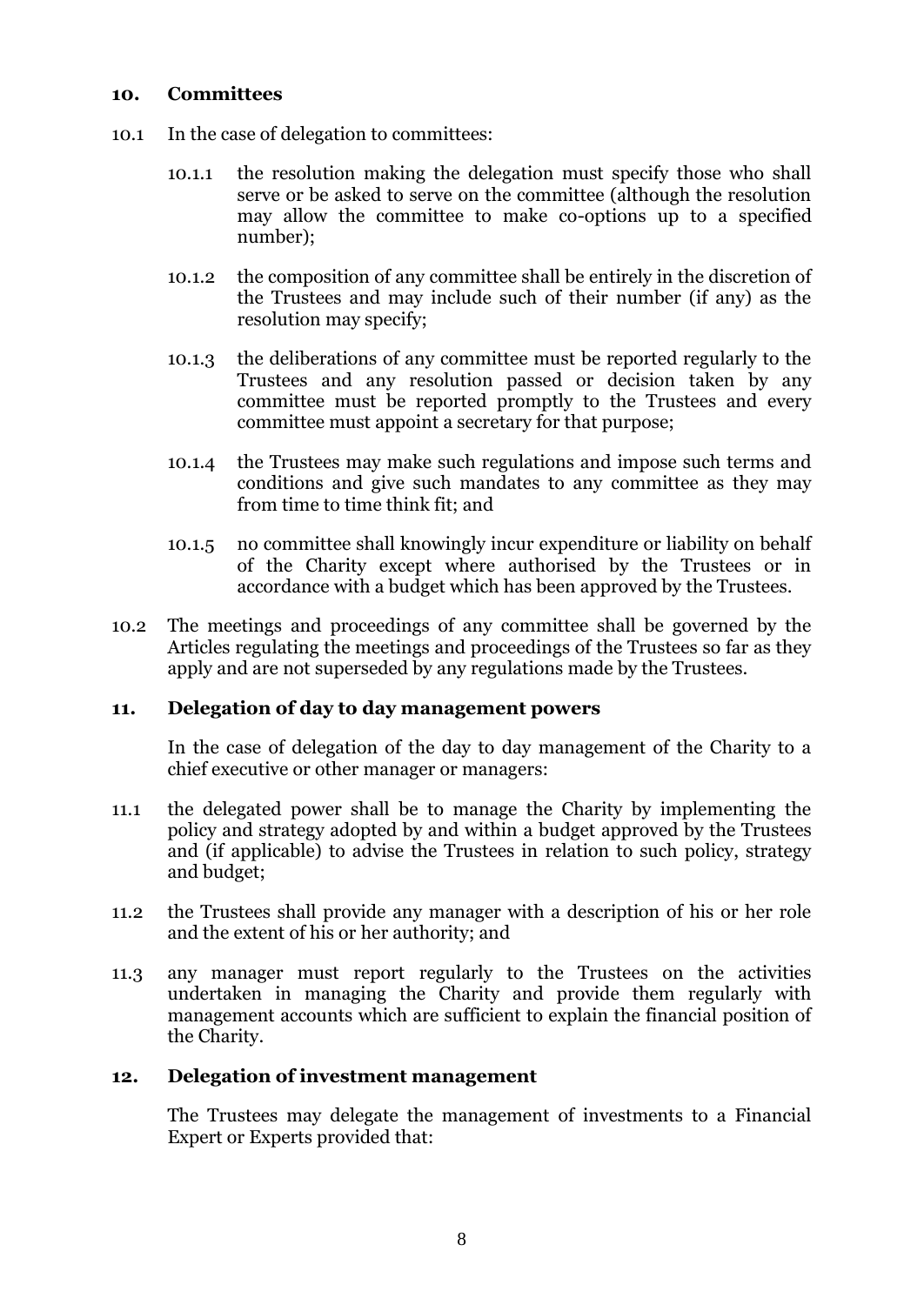#### <span id="page-10-0"></span>**10. Committees**

- 10.1 In the case of delegation to committees:
	- 10.1.1 the resolution making the delegation must specify those who shall serve or be asked to serve on the committee (although the resolution may allow the committee to make co-options up to a specified number);
	- 10.1.2 the composition of any committee shall be entirely in the discretion of the Trustees and may include such of their number (if any) as the resolution may specify;
	- 10.1.3 the deliberations of any committee must be reported regularly to the Trustees and any resolution passed or decision taken by any committee must be reported promptly to the Trustees and every committee must appoint a secretary for that purpose;
	- 10.1.4 the Trustees may make such regulations and impose such terms and conditions and give such mandates to any committee as they may from time to time think fit; and
	- 10.1.5 no committee shall knowingly incur expenditure or liability on behalf of the Charity except where authorised by the Trustees or in accordance with a budget which has been approved by the Trustees.
- 10.2 The meetings and proceedings of any committee shall be governed by the Articles regulating the meetings and proceedings of the Trustees so far as they apply and are not superseded by any regulations made by the Trustees.

### <span id="page-10-1"></span>**11. Delegation of day to day management powers**

In the case of delegation of the day to day management of the Charity to a chief executive or other manager or managers:

- 11.1 the delegated power shall be to manage the Charity by implementing the policy and strategy adopted by and within a budget approved by the Trustees and (if applicable) to advise the Trustees in relation to such policy, strategy and budget;
- 11.2 the Trustees shall provide any manager with a description of his or her role and the extent of his or her authority; and
- 11.3 any manager must report regularly to the Trustees on the activities undertaken in managing the Charity and provide them regularly with management accounts which are sufficient to explain the financial position of the Charity.

### <span id="page-10-2"></span>**12. Delegation of investment management**

The Trustees may delegate the management of investments to a Financial Expert or Experts provided that: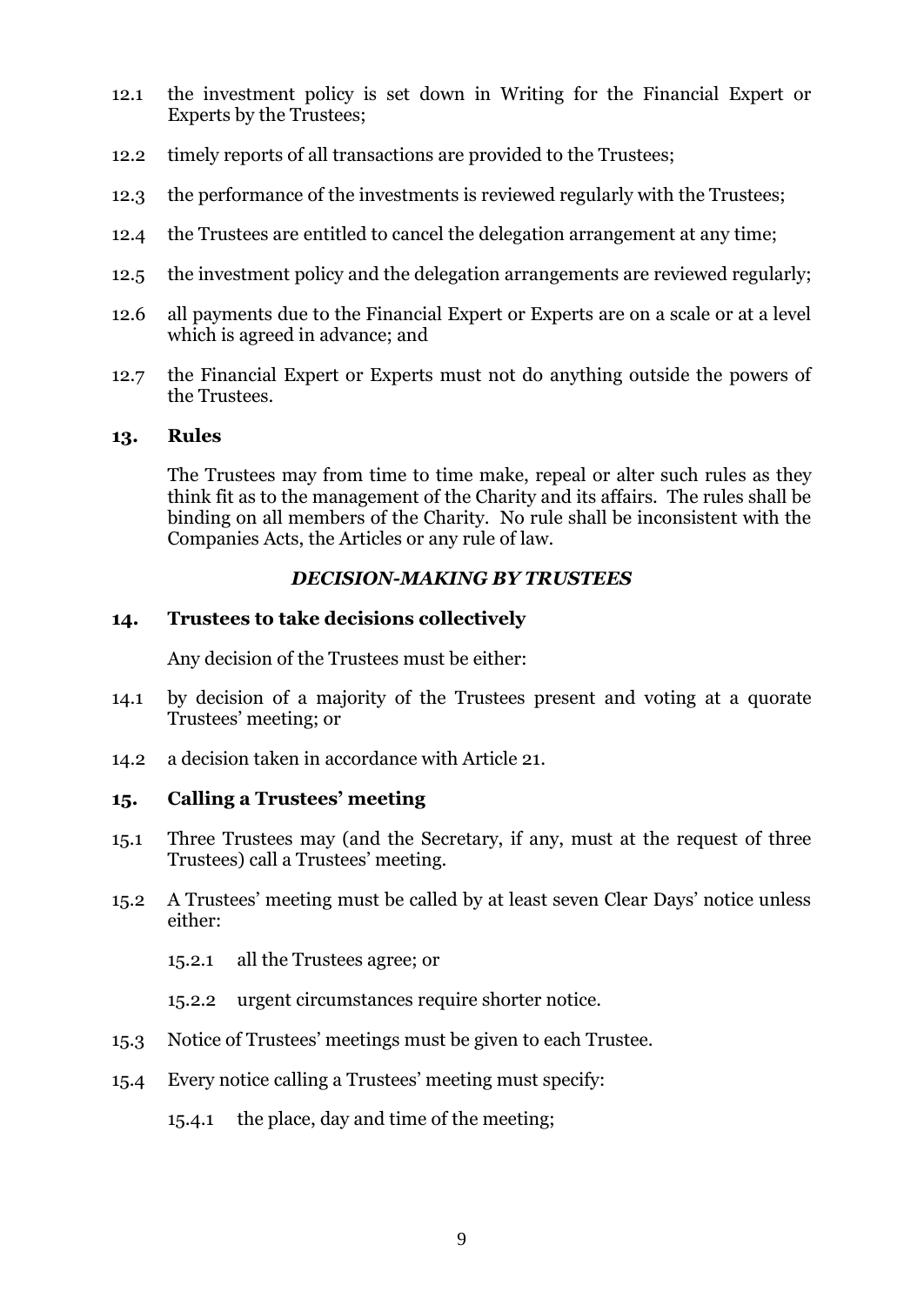- 12.1 the investment policy is set down in Writing for the Financial Expert or Experts by the Trustees;
- 12.2 timely reports of all transactions are provided to the Trustees;
- 12.3 the performance of the investments is reviewed regularly with the Trustees;
- 12.4 the Trustees are entitled to cancel the delegation arrangement at any time;
- 12.5 the investment policy and the delegation arrangements are reviewed regularly;
- 12.6 all payments due to the Financial Expert or Experts are on a scale or at a level which is agreed in advance; and
- 12.7 the Financial Expert or Experts must not do anything outside the powers of the Trustees.

#### <span id="page-11-0"></span>**13. Rules**

The Trustees may from time to time make, repeal or alter such rules as they think fit as to the management of the Charity and its affairs. The rules shall be binding on all members of the Charity. No rule shall be inconsistent with the Companies Acts, the Articles or any rule of law.

# *DECISION-MAKING BY TRUSTEES*

### <span id="page-11-2"></span><span id="page-11-1"></span>**14. Trustees to take decisions collectively**

Any decision of the Trustees must be either:

- 14.1 by decision of a majority of the Trustees present and voting at a quorate Trustees' meeting; or
- 14.2 a decision taken in accordance with Article [21.](#page-13-2)

### <span id="page-11-3"></span>**15. Calling a Trustees' meeting**

- 15.1 Three Trustees may (and the Secretary, if any, must at the request of three Trustees) call a Trustees' meeting.
- 15.2 A Trustees' meeting must be called by at least seven Clear Days' notice unless either:
	- 15.2.1 all the Trustees agree; or
	- 15.2.2 urgent circumstances require shorter notice.
- 15.3 Notice of Trustees' meetings must be given to each Trustee.
- 15.4 Every notice calling a Trustees' meeting must specify:
	- 15.4.1 the place, day and time of the meeting;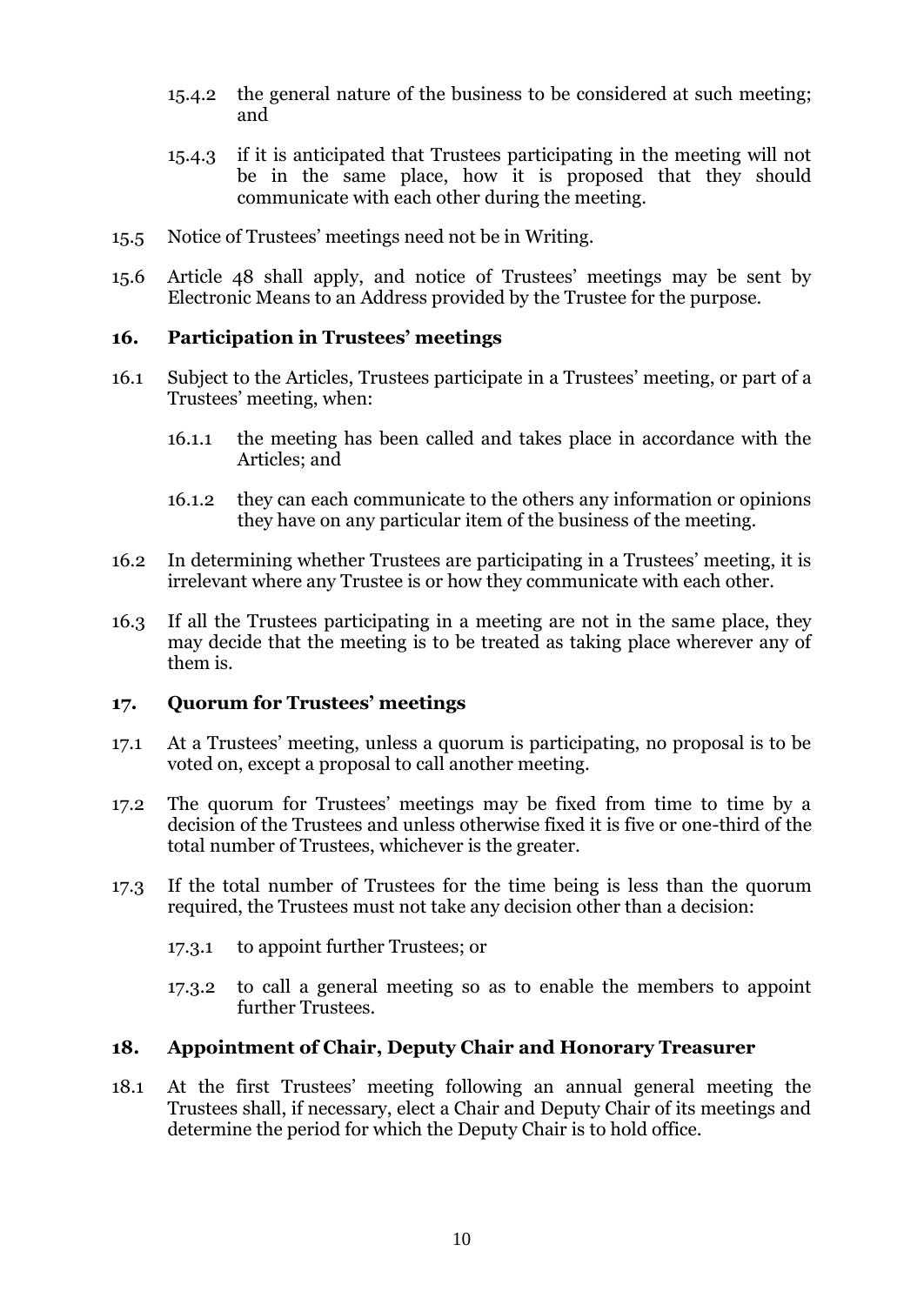- 15.4.2 the general nature of the business to be considered at such meeting; and
- 15.4.3 if it is anticipated that Trustees participating in the meeting will not be in the same place, how it is proposed that they should communicate with each other during the meeting.
- 15.5 Notice of Trustees' meetings need not be in Writing.
- 15.6 Article [48](#page-29-1) shall apply, and notice of Trustees' meetings may be sent by Electronic Means to an Address provided by the Trustee for the purpose.

### <span id="page-12-0"></span>**16. Participation in Trustees' meetings**

- 16.1 Subject to the Articles, Trustees participate in a Trustees' meeting, or part of a Trustees' meeting, when:
	- 16.1.1 the meeting has been called and takes place in accordance with the Articles; and
	- 16.1.2 they can each communicate to the others any information or opinions they have on any particular item of the business of the meeting.
- 16.2 In determining whether Trustees are participating in a Trustees' meeting, it is irrelevant where any Trustee is or how they communicate with each other.
- 16.3 If all the Trustees participating in a meeting are not in the same place, they may decide that the meeting is to be treated as taking place wherever any of them is.

#### <span id="page-12-1"></span>**17. Quorum for Trustees' meetings**

- 17.1 At a Trustees' meeting, unless a quorum is participating, no proposal is to be voted on, except a proposal to call another meeting.
- 17.2 The quorum for Trustees' meetings may be fixed from time to time by a decision of the Trustees and unless otherwise fixed it is five or one-third of the total number of Trustees, whichever is the greater.
- 17.3 If the total number of Trustees for the time being is less than the quorum required, the Trustees must not take any decision other than a decision:
	- 17.3.1 to appoint further Trustees; or
	- 17.3.2 to call a general meeting so as to enable the members to appoint further Trustees.

### <span id="page-12-2"></span>**18. Appointment of Chair, Deputy Chair and Honorary Treasurer**

18.1 At the first Trustees' meeting following an annual general meeting the Trustees shall, if necessary, elect a Chair and Deputy Chair of its meetings and determine the period for which the Deputy Chair is to hold office.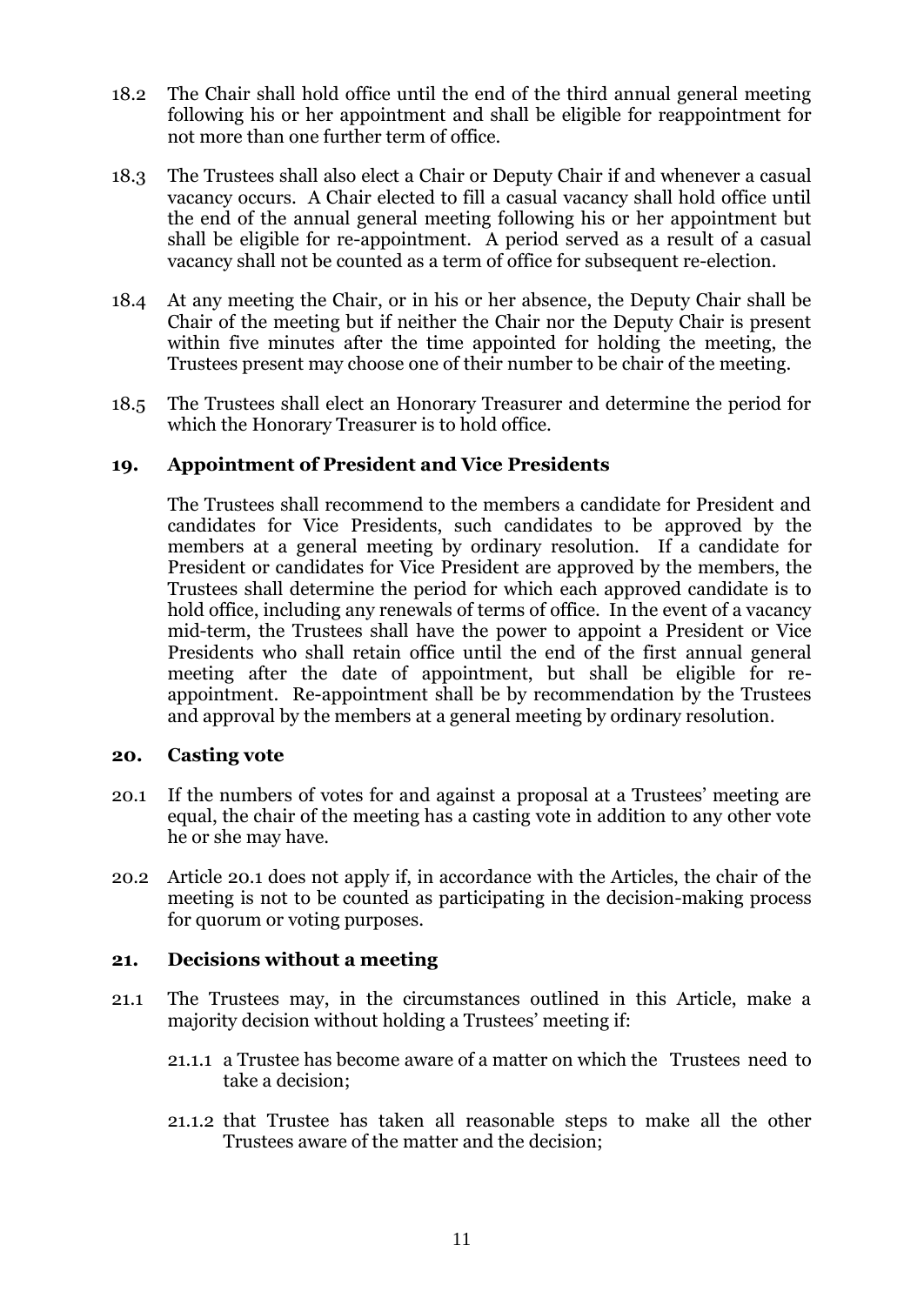- 18.2 The Chair shall hold office until the end of the third annual general meeting following his or her appointment and shall be eligible for reappointment for not more than one further term of office.
- 18.3 The Trustees shall also elect a Chair or Deputy Chair if and whenever a casual vacancy occurs. A Chair elected to fill a casual vacancy shall hold office until the end of the annual general meeting following his or her appointment but shall be eligible for re-appointment. A period served as a result of a casual vacancy shall not be counted as a term of office for subsequent re-election.
- 18.4 At any meeting the Chair, or in his or her absence, the Deputy Chair shall be Chair of the meeting but if neither the Chair nor the Deputy Chair is present within five minutes after the time appointed for holding the meeting, the Trustees present may choose one of their number to be chair of the meeting.
- 18.5 The Trustees shall elect an Honorary Treasurer and determine the period for which the Honorary Treasurer is to hold office.

# <span id="page-13-0"></span>**19. Appointment of President and Vice Presidents**

The Trustees shall recommend to the members a candidate for President and candidates for Vice Presidents, such candidates to be approved by the members at a general meeting by ordinary resolution. If a candidate for President or candidates for Vice President are approved by the members, the Trustees shall determine the period for which each approved candidate is to hold office, including any renewals of terms of office. In the event of a vacancy mid-term, the Trustees shall have the power to appoint a President or Vice Presidents who shall retain office until the end of the first annual general meeting after the date of appointment, but shall be eligible for reappointment. Re-appointment shall be by recommendation by the Trustees and approval by the members at a general meeting by ordinary resolution.

### <span id="page-13-1"></span>**20. Casting vote**

- <span id="page-13-3"></span>20.1 If the numbers of votes for and against a proposal at a Trustees' meeting are equal, the chair of the meeting has a casting vote in addition to any other vote he or she may have.
- 20.2 Article [20.1](#page-13-3) does not apply if, in accordance with the Articles, the chair of the meeting is not to be counted as participating in the decision-making process for quorum or voting purposes.

### <span id="page-13-2"></span>**21. Decisions without a meeting**

- 21.1 The Trustees may, in the circumstances outlined in this Article, make a majority decision without holding a Trustees' meeting if:
	- 21.1.1 a Trustee has become aware of a matter on which the Trustees need to take a decision;
	- 21.1.2 that Trustee has taken all reasonable steps to make all the other Trustees aware of the matter and the decision;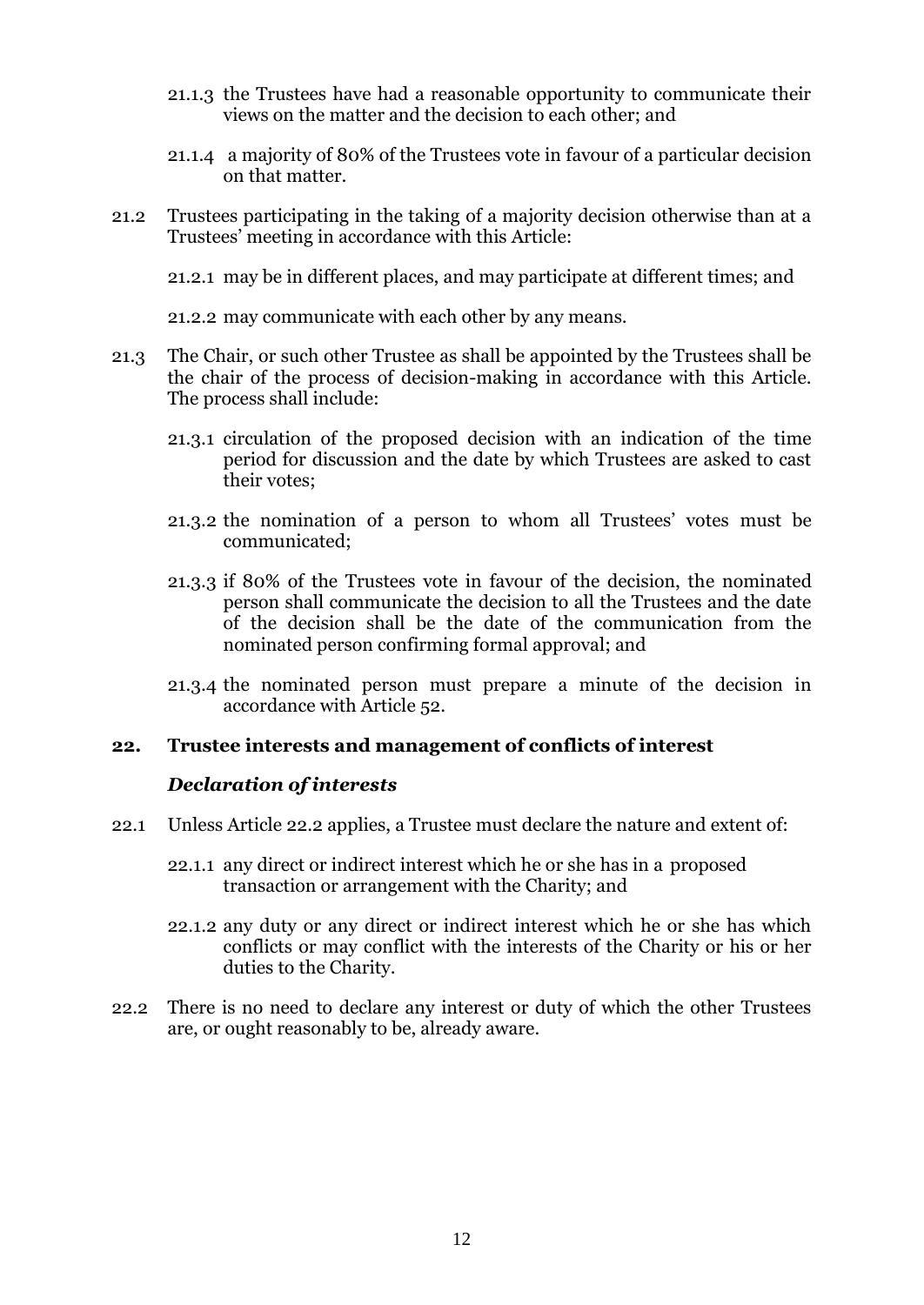- 21.1.3 the Trustees have had a reasonable opportunity to communicate their views on the matter and the decision to each other; and
- 21.1.4 a majority of 80% of the Trustees vote in favour of a particular decision on that matter.
- 21.2 Trustees participating in the taking of a majority decision otherwise than at a Trustees' meeting in accordance with this Article:

21.2.1 may be in different places, and may participate at different times; and

21.2.2 may communicate with each other by any means.

- 21.3 The Chair, or such other Trustee as shall be appointed by the Trustees shall be the chair of the process of decision-making in accordance with this Article. The process shall include:
	- 21.3.1 circulation of the proposed decision with an indication of the time period for discussion and the date by which Trustees are asked to cast their votes;
	- 21.3.2 the nomination of a person to whom all Trustees' votes must be communicated;
	- 21.3.3 if 80% of the Trustees vote in favour of the decision, the nominated person shall communicate the decision to all the Trustees and the date of the decision shall be the date of the communication from the nominated person confirming formal approval; and
	- 21.3.4 the nominated person must prepare a minute of the decision in accordance with Article 52.

#### <span id="page-14-0"></span>**22. Trustee interests and management of conflicts of interest**

#### *Declaration of interests*

- 22.1 Unless Article [22.2](#page-14-1) applies, a Trustee must declare the nature and extent of:
	- 22.1.1 any direct or indirect interest which he or she has in a proposed transaction or arrangement with the Charity; and
	- 22.1.2 any duty or any direct or indirect interest which he or she has which conflicts or may conflict with the interests of the Charity or his or her duties to the Charity.
- <span id="page-14-1"></span>22.2 There is no need to declare any interest or duty of which the other Trustees are, or ought reasonably to be, already aware.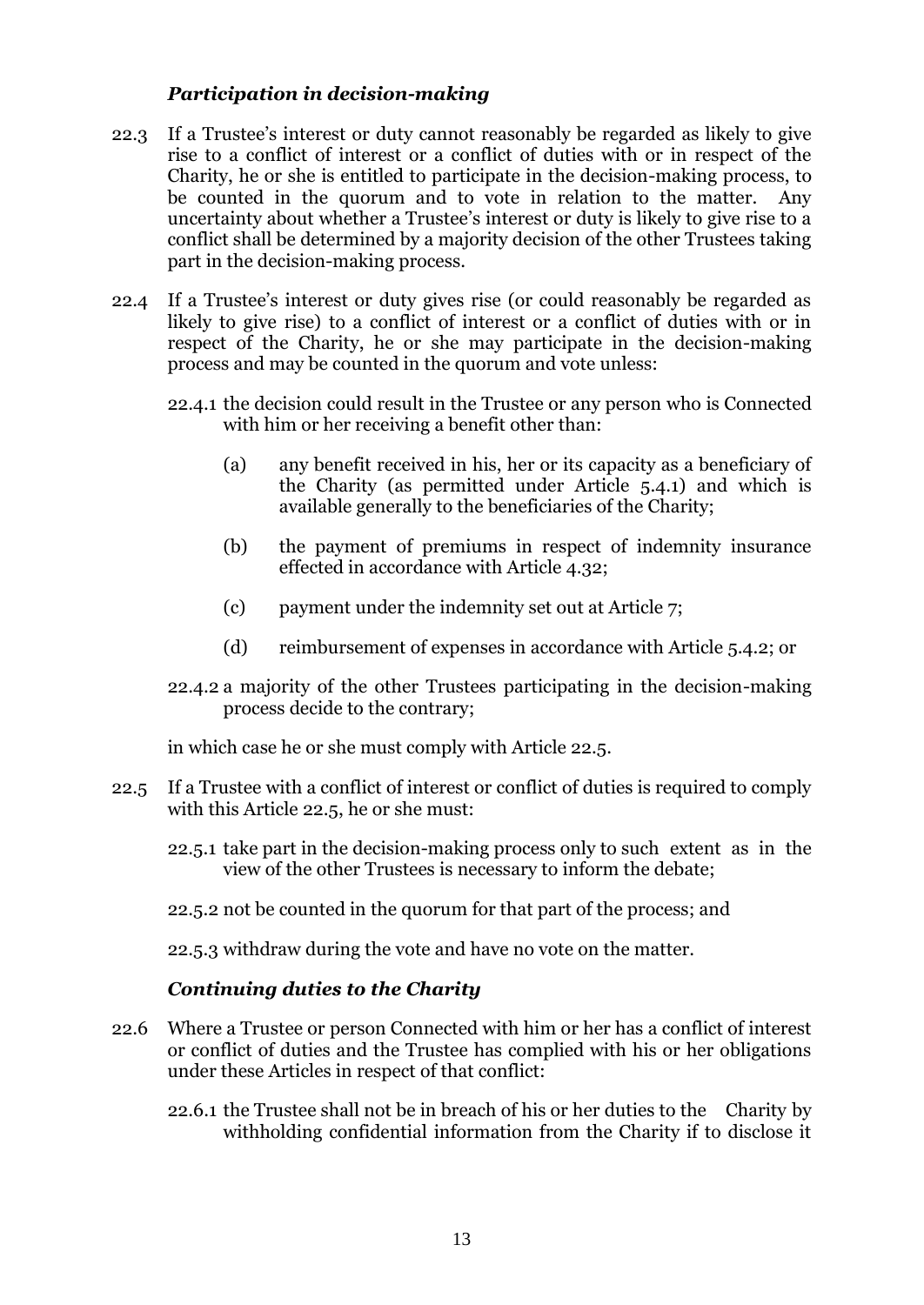# *Participation in decision-making*

- 22.3 If a Trustee's interest or duty cannot reasonably be regarded as likely to give rise to a conflict of interest or a conflict of duties with or in respect of the Charity, he or she is entitled to participate in the decision-making process, to be counted in the quorum and to vote in relation to the matter. Any uncertainty about whether a Trustee's interest or duty is likely to give rise to a conflict shall be determined by a majority decision of the other Trustees taking part in the decision-making process.
- 22.4 If a Trustee's interest or duty gives rise (or could reasonably be regarded as likely to give rise) to a conflict of interest or a conflict of duties with or in respect of the Charity, he or she may participate in the decision-making process and may be counted in the quorum and vote unless:
	- 22.4.1 the decision could result in the Trustee or any person who is Connected with him or her receiving a benefit other than:
		- (a) any benefit received in his, her or its capacity as a beneficiary of the Charity (as permitted under Article [5.4.1\)](#page-7-2) and which is available generally to the beneficiaries of the Charity;
		- (b) the payment of premiums in respect of indemnity insurance effected in accordance with Article [4.32;](#page-6-2)
		- (c) payment under the indemnity set out at Article [7;](#page-9-0)
		- (d) reimbursement of expenses in accordance with Article [5.4.2;](#page-7-4) or
	- 22.4.2 a majority of the other Trustees participating in the decision-making process decide to the contrary;

in which case he or she must comply with Article [22.5.](#page-15-0)

- <span id="page-15-0"></span>22.5 If a Trustee with a conflict of interest or conflict of duties is required to comply with this Article [22.5,](#page-15-0) he or she must:
	- 22.5.1 take part in the decision-making process only to such extent as in the view of the other Trustees is necessary to inform the debate;
	- 22.5.2 not be counted in the quorum for that part of the process; and

22.5.3 withdraw during the vote and have no vote on the matter.

### *Continuing duties to the Charity*

- 22.6 Where a Trustee or person Connected with him or her has a conflict of interest or conflict of duties and the Trustee has complied with his or her obligations under these Articles in respect of that conflict:
	- 22.6.1 the Trustee shall not be in breach of his or her duties to the Charity by withholding confidential information from the Charity if to disclose it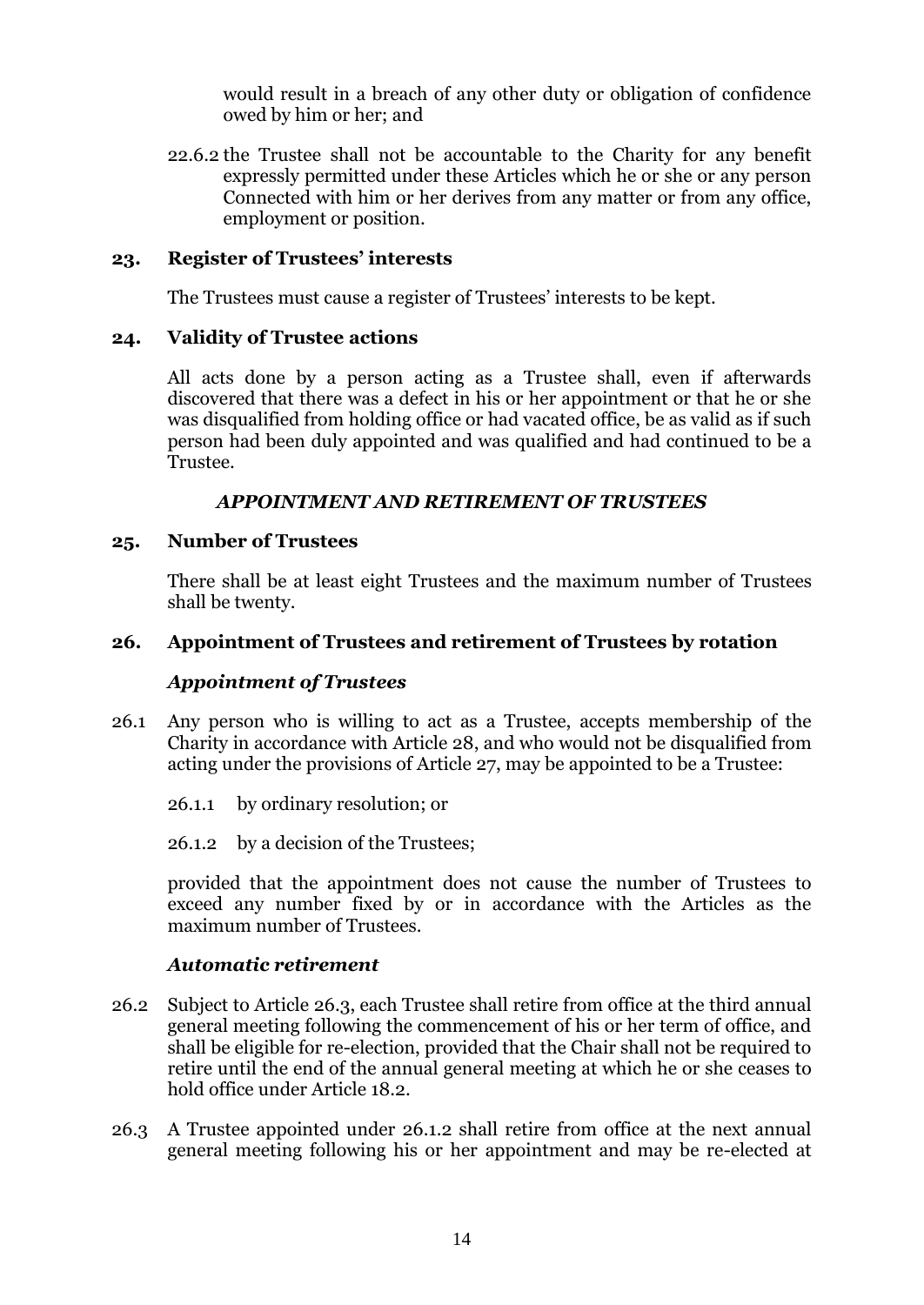would result in a breach of any other duty or obligation of confidence owed by him or her; and

22.6.2 the Trustee shall not be accountable to the Charity for any benefit expressly permitted under these Articles which he or she or any person Connected with him or her derives from any matter or from any office, employment or position.

### <span id="page-16-0"></span>**23. Register of Trustees' interests**

The Trustees must cause a register of Trustees' interests to be kept.

#### <span id="page-16-1"></span>**24. Validity of Trustee actions**

All acts done by a person acting as a Trustee shall, even if afterwards discovered that there was a defect in his or her appointment or that he or she was disqualified from holding office or had vacated office, be as valid as if such person had been duly appointed and was qualified and had continued to be a Trustee.

#### *APPOINTMENT AND RETIREMENT OF TRUSTEES*

#### <span id="page-16-3"></span><span id="page-16-2"></span>**25. Number of Trustees**

There shall be at least eight Trustees and the maximum number of Trustees shall be twenty.

#### <span id="page-16-4"></span>**26. Appointment of Trustees and retirement of Trustees by rotation**

#### *Appointment of Trustees*

- 26.1 Any person who is willing to act as a Trustee, accepts membership of the Charity in accordance with Article [28,](#page-18-2) and who would not be disqualified from acting under the provisions of Article [27,](#page-17-0) may be appointed to be a Trustee:
	- 26.1.1 by ordinary resolution; or
	- 26.1.2 by a decision of the Trustees;

<span id="page-16-6"></span>provided that the appointment does not cause the number of Trustees to exceed any number fixed by or in accordance with the Articles as the maximum number of Trustees.

#### *Automatic retirement*

- <span id="page-16-7"></span>26.2 Subject to Article [26.3,](#page-16-5) each Trustee shall retire from office at the third annual general meeting following the commencement of his or her term of office, and shall be eligible for re-election, provided that the Chair shall not be required to retire until the end of the annual general meeting at which he or she ceases to hold office under Article 18.2.
- <span id="page-16-5"></span>26.3 A Trustee appointed under [26.1.2](#page-16-6) shall retire from office at the next annual general meeting following his or her appointment and may be re-elected at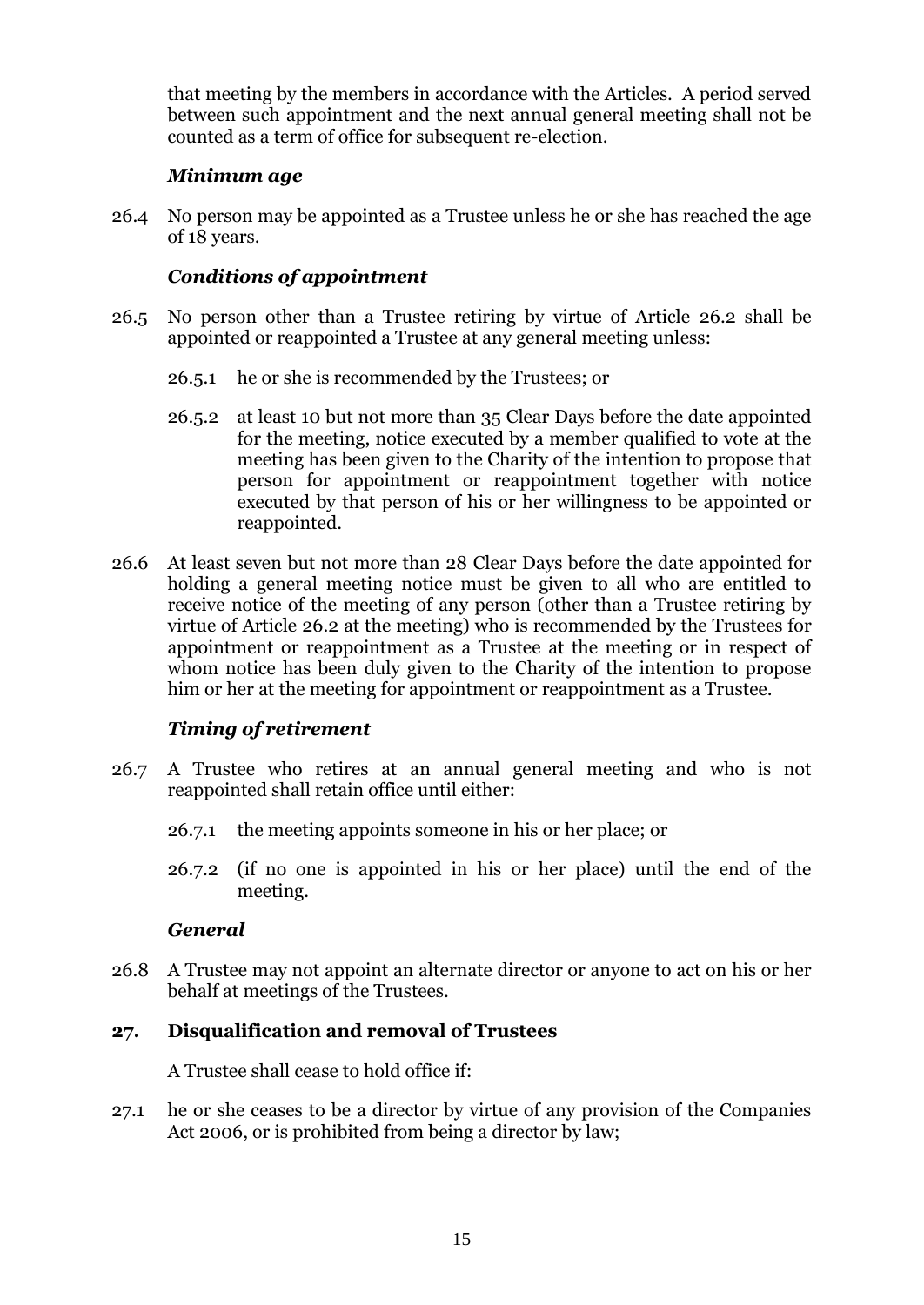that meeting by the members in accordance with the Articles. A period served between such appointment and the next annual general meeting shall not be counted as a term of office for subsequent re-election.

### *Minimum age*

26.4 No person may be appointed as a Trustee unless he or she has reached the age of 18 years.

# *Conditions of appointment*

- 26.5 No person other than a Trustee retiring by virtue of Article [26.2](#page-16-7) shall be appointed or reappointed a Trustee at any general meeting unless:
	- 26.5.1 he or she is recommended by the Trustees; or
	- 26.5.2 at least 10 but not more than 35 Clear Days before the date appointed for the meeting, notice executed by a member qualified to vote at the meeting has been given to the Charity of the intention to propose that person for appointment or reappointment together with notice executed by that person of his or her willingness to be appointed or reappointed.
- 26.6 At least seven but not more than 28 Clear Days before the date appointed for holding a general meeting notice must be given to all who are entitled to receive notice of the meeting of any person (other than a Trustee retiring by virtue of Article [26.2](#page-16-7) at the meeting) who is recommended by the Trustees for appointment or reappointment as a Trustee at the meeting or in respect of whom notice has been duly given to the Charity of the intention to propose him or her at the meeting for appointment or reappointment as a Trustee.

# *Timing of retirement*

- 26.7 A Trustee who retires at an annual general meeting and who is not reappointed shall retain office until either:
	- 26.7.1 the meeting appoints someone in his or her place; or
	- 26.7.2 (if no one is appointed in his or her place) until the end of the meeting.

### *General*

26.8 A Trustee may not appoint an alternate director or anyone to act on his or her behalf at meetings of the Trustees.

### <span id="page-17-0"></span>**27. Disqualification and removal of Trustees**

A Trustee shall cease to hold office if:

27.1 he or she ceases to be a director by virtue of any provision of the Companies Act 2006, or is prohibited from being a director by law;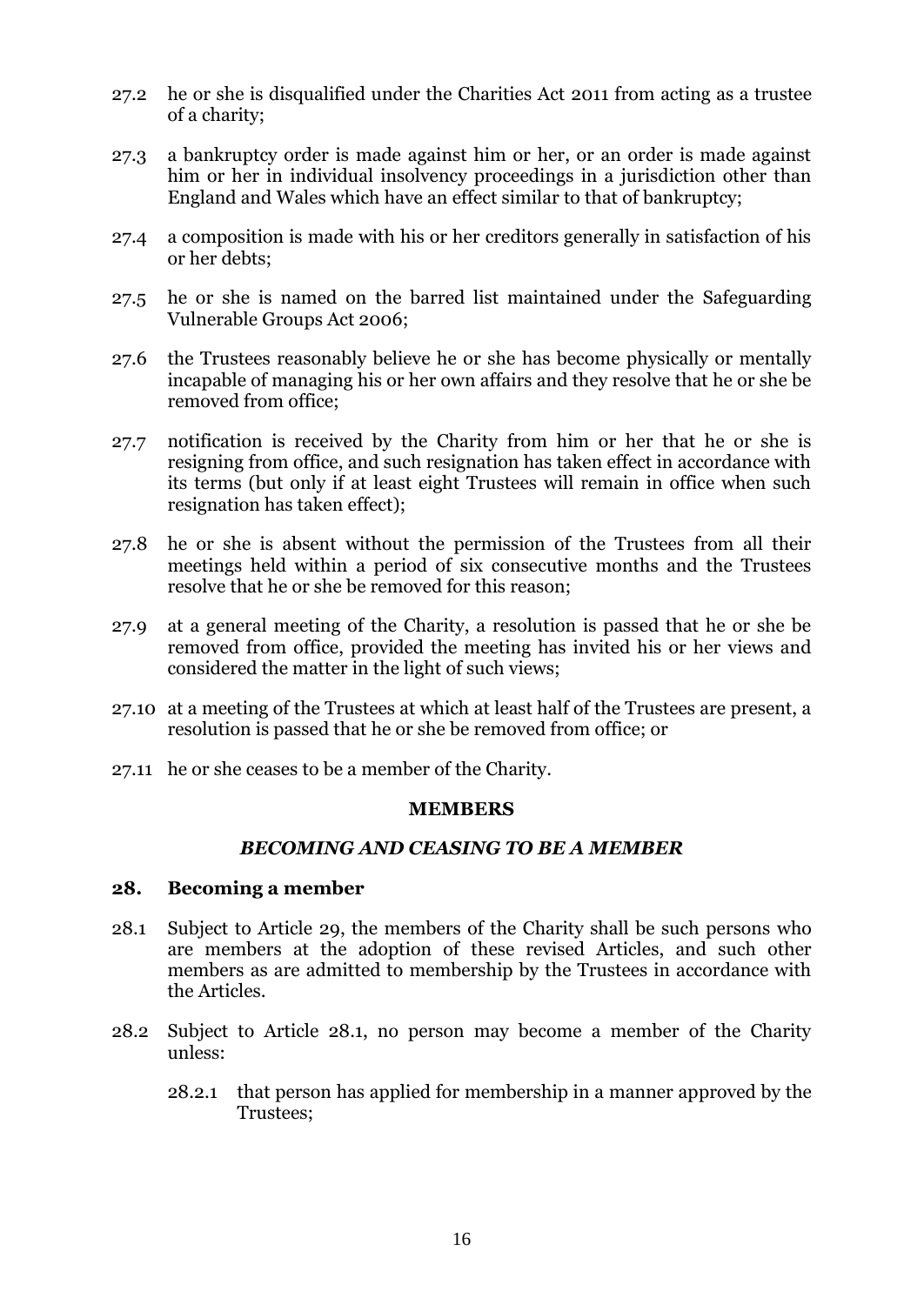- 27.2 he or she is disqualified under the Charities Act 2011 from acting as a trustee of a charity;
- 27.3 a bankruptcy order is made against him or her, or an order is made against him or her in individual insolvency proceedings in a jurisdiction other than England and Wales which have an effect similar to that of bankruptcy;
- 27.4 a composition is made with his or her creditors generally in satisfaction of his or her debts;
- 27.5 he or she is named on the barred list maintained under the Safeguarding Vulnerable Groups Act 2006;
- 27.6 the Trustees reasonably believe he or she has become physically or mentally incapable of managing his or her own affairs and they resolve that he or she be removed from office:
- 27.7 notification is received by the Charity from him or her that he or she is resigning from office, and such resignation has taken effect in accordance with its terms (but only if at least eight Trustees will remain in office when such resignation has taken effect);
- 27.8 he or she is absent without the permission of the Trustees from all their meetings held within a period of six consecutive months and the Trustees resolve that he or she be removed for this reason;
- 27.9 at a general meeting of the Charity, a resolution is passed that he or she be removed from office, provided the meeting has invited his or her views and considered the matter in the light of such views;
- 27.10 at a meeting of the Trustees at which at least half of the Trustees are present, a resolution is passed that he or she be removed from office; or
- <span id="page-18-0"></span>27.11 he or she ceases to be a member of the Charity.

#### **MEMBERS**

### *BECOMING AND CEASING TO BE A MEMBER*

#### <span id="page-18-2"></span><span id="page-18-1"></span>**28. Becoming a member**

- 28.1 Subject to Article [29,](#page-19-0) the members of the Charity shall be such persons who are members at the adoption of these revised Articles, and such other members as are admitted to membership by the Trustees in accordance with the Articles.
- 28.2 Subject to Article 28.1, no person may become a member of the Charity unless:
	- 28.2.1 that person has applied for membership in a manner approved by the Trustees;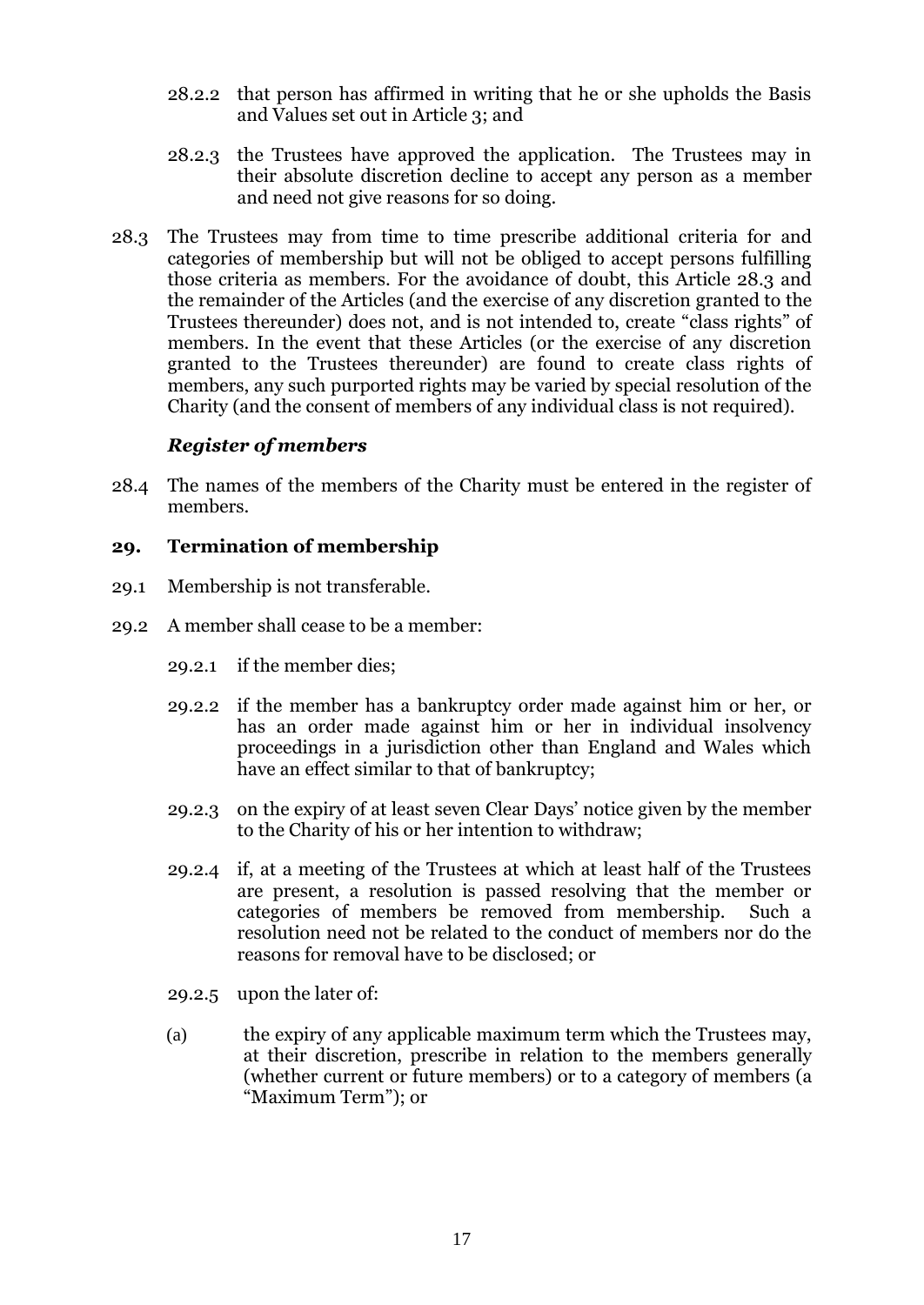- 28.2.2 that person has affirmed in writing that he or she upholds the Basis and Values set out in Article 3; and
- 28.2.3 the Trustees have approved the application. The Trustees may in their absolute discretion decline to accept any person as a member and need not give reasons for so doing.
- 28.3 The Trustees may from time to time prescribe additional criteria for and categories of membership but will not be obliged to accept persons fulfilling those criteria as members. For the avoidance of doubt, this Article 28.3 and the remainder of the Articles (and the exercise of any discretion granted to the Trustees thereunder) does not, and is not intended to, create "class rights" of members. In the event that these Articles (or the exercise of any discretion granted to the Trustees thereunder) are found to create class rights of members, any such purported rights may be varied by special resolution of the Charity (and the consent of members of any individual class is not required).

### *Register of members*

28.4 The names of the members of the Charity must be entered in the register of members.

#### <span id="page-19-0"></span>**29. Termination of membership**

- 29.1 Membership is not transferable.
- 29.2 A member shall cease to be a member:
	- 29.2.1 if the member dies;
	- 29.2.2 if the member has a bankruptcy order made against him or her, or has an order made against him or her in individual insolvency proceedings in a jurisdiction other than England and Wales which have an effect similar to that of bankruptcy;
	- 29.2.3 on the expiry of at least seven Clear Days' notice given by the member to the Charity of his or her intention to withdraw;
	- 29.2.4 if, at a meeting of the Trustees at which at least half of the Trustees are present, a resolution is passed resolving that the member or categories of members be removed from membership. Such a resolution need not be related to the conduct of members nor do the reasons for removal have to be disclosed; or
	- 29.2.5 upon the later of:
	- (a) the expiry of any applicable maximum term which the Trustees may, at their discretion, prescribe in relation to the members generally (whether current or future members) or to a category of members (a "Maximum Term"); or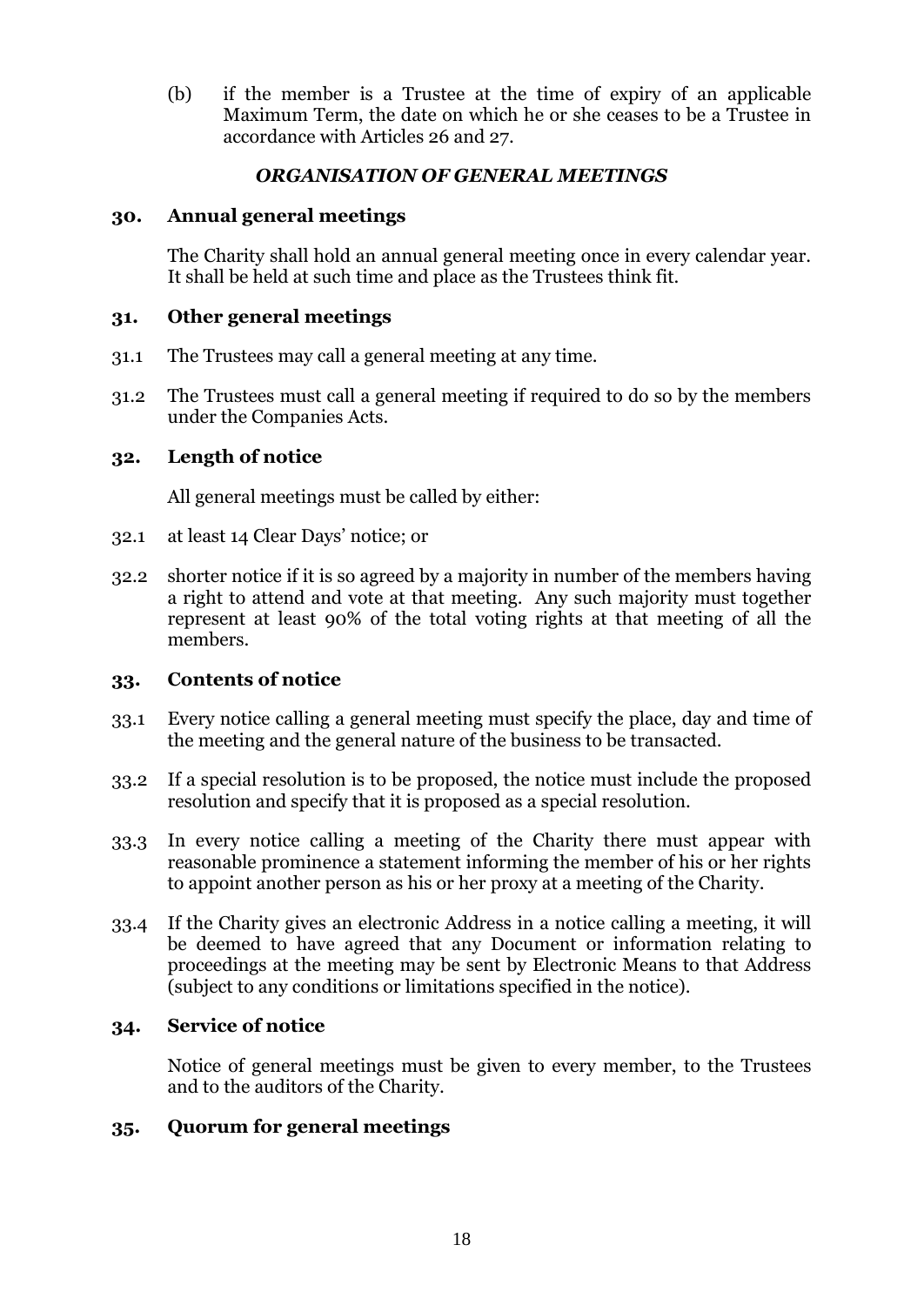(b) if the member is a Trustee at the time of expiry of an applicable Maximum Term, the date on which he or she ceases to be a Trustee in accordance with Articles 26 and 27.

# *ORGANISATION OF GENERAL MEETINGS*

# <span id="page-20-1"></span><span id="page-20-0"></span>**30. Annual general meetings**

The Charity shall hold an annual general meeting once in every calendar year. It shall be held at such time and place as the Trustees think fit.

#### <span id="page-20-2"></span>**31. Other general meetings**

- 31.1 The Trustees may call a general meeting at any time.
- 31.2 The Trustees must call a general meeting if required to do so by the members under the Companies Acts.

### <span id="page-20-3"></span>**32. Length of notice**

All general meetings must be called by either:

- 32.1 at least 14 Clear Days' notice; or
- 32.2 shorter notice if it is so agreed by a majority in number of the members having a right to attend and vote at that meeting. Any such majority must together represent at least 90% of the total voting rights at that meeting of all the members.

### <span id="page-20-4"></span>**33. Contents of notice**

- 33.1 Every notice calling a general meeting must specify the place, day and time of the meeting and the general nature of the business to be transacted.
- 33.2 If a special resolution is to be proposed, the notice must include the proposed resolution and specify that it is proposed as a special resolution.
- 33.3 In every notice calling a meeting of the Charity there must appear with reasonable prominence a statement informing the member of his or her rights to appoint another person as his or her proxy at a meeting of the Charity.
- 33.4 If the Charity gives an electronic Address in a notice calling a meeting, it will be deemed to have agreed that any Document or information relating to proceedings at the meeting may be sent by Electronic Means to that Address (subject to any conditions or limitations specified in the notice).

# <span id="page-20-5"></span>**34. Service of notice**

Notice of general meetings must be given to every member, to the Trustees and to the auditors of the Charity.

### <span id="page-20-6"></span>**35. Quorum for general meetings**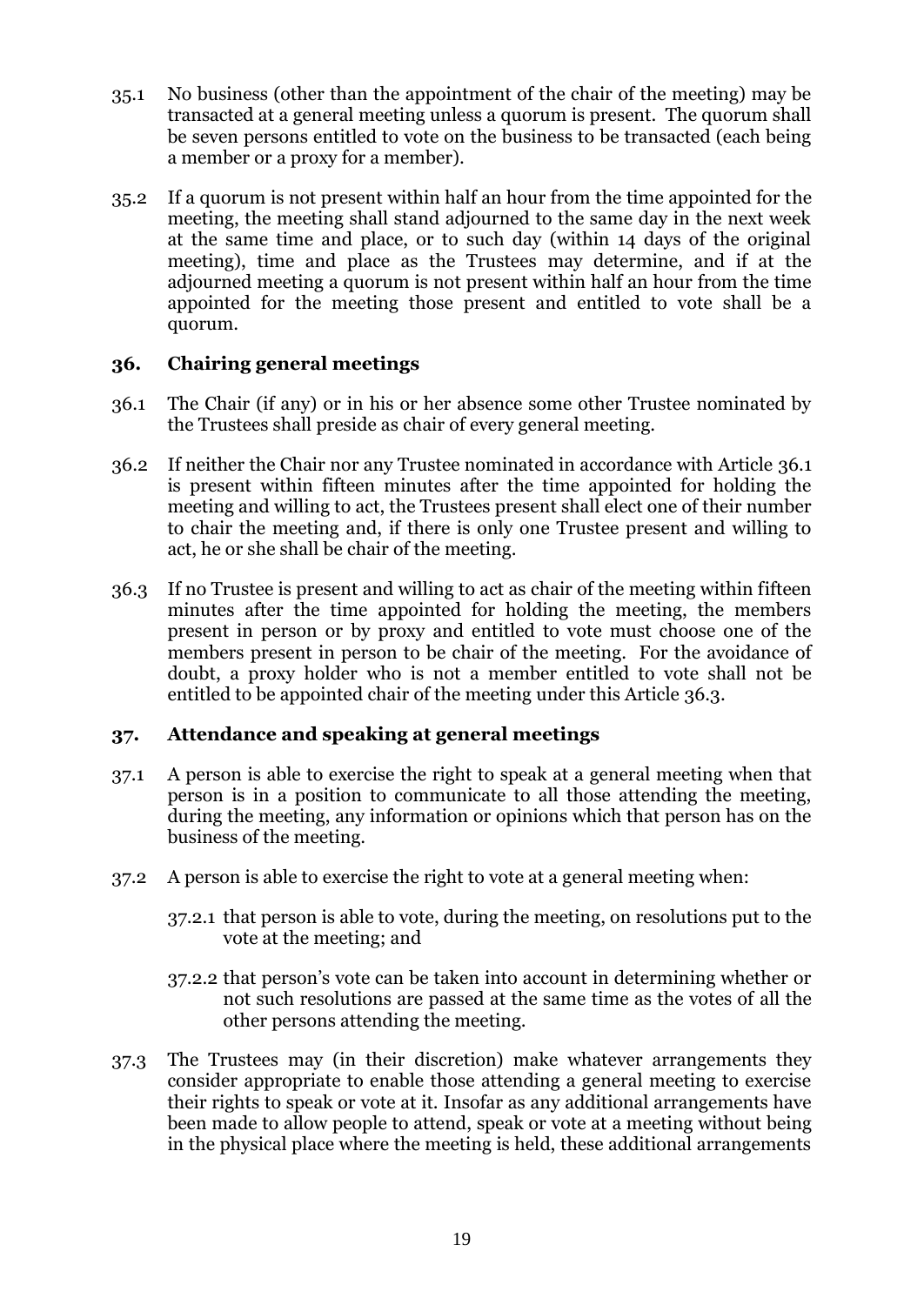- 35.1 No business (other than the appointment of the chair of the meeting) may be transacted at a general meeting unless a quorum is present. The quorum shall be seven persons entitled to vote on the business to be transacted (each being a member or a proxy for a member).
- 35.2 If a quorum is not present within half an hour from the time appointed for the meeting, the meeting shall stand adjourned to the same day in the next week at the same time and place, or to such day (within 14 days of the original meeting), time and place as the Trustees may determine, and if at the adjourned meeting a quorum is not present within half an hour from the time appointed for the meeting those present and entitled to vote shall be a quorum.

# <span id="page-21-0"></span>**36. Chairing general meetings**

- <span id="page-21-2"></span>36.1 The Chair (if any) or in his or her absence some other Trustee nominated by the Trustees shall preside as chair of every general meeting.
- 36.2 If neither the Chair nor any Trustee nominated in accordance with Article [36.1](#page-21-2) is present within fifteen minutes after the time appointed for holding the meeting and willing to act, the Trustees present shall elect one of their number to chair the meeting and, if there is only one Trustee present and willing to act, he or she shall be chair of the meeting.
- <span id="page-21-3"></span>36.3 If no Trustee is present and willing to act as chair of the meeting within fifteen minutes after the time appointed for holding the meeting, the members present in person or by proxy and entitled to vote must choose one of the members present in person to be chair of the meeting. For the avoidance of doubt, a proxy holder who is not a member entitled to vote shall not be entitled to be appointed chair of the meeting under this Article [36.3.](#page-21-3)

# <span id="page-21-1"></span>**37. Attendance and speaking at general meetings**

- 37.1 A person is able to exercise the right to speak at a general meeting when that person is in a position to communicate to all those attending the meeting, during the meeting, any information or opinions which that person has on the business of the meeting.
- 37.2 A person is able to exercise the right to vote at a general meeting when:
	- 37.2.1 that person is able to vote, during the meeting, on resolutions put to the vote at the meeting; and
	- 37.2.2 that person's vote can be taken into account in determining whether or not such resolutions are passed at the same time as the votes of all the other persons attending the meeting.
- 37.3 The Trustees may (in their discretion) make whatever arrangements they consider appropriate to enable those attending a general meeting to exercise their rights to speak or vote at it. Insofar as any additional arrangements have been made to allow people to attend, speak or vote at a meeting without being in the physical place where the meeting is held, these additional arrangements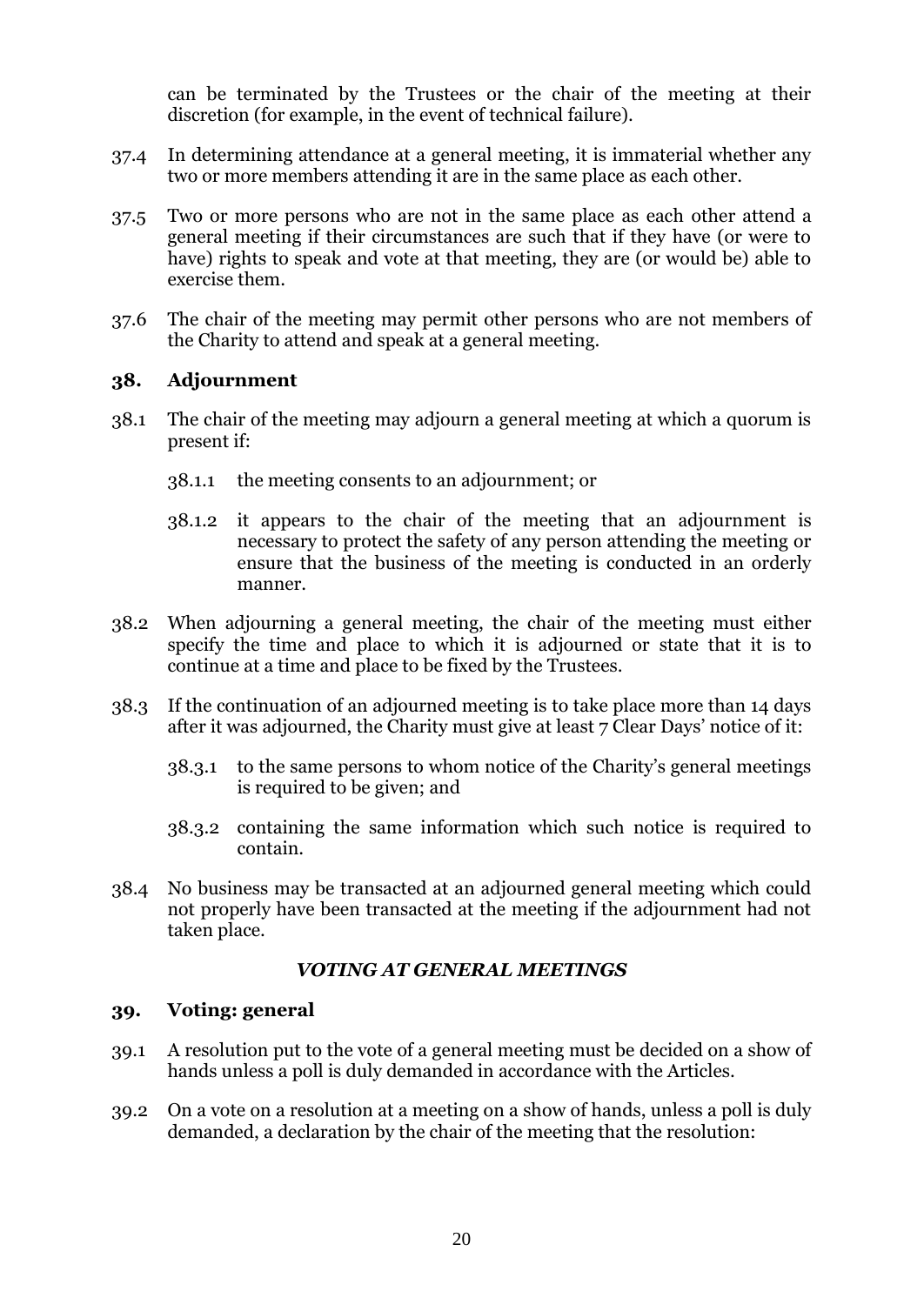can be terminated by the Trustees or the chair of the meeting at their discretion (for example, in the event of technical failure).

- 37.4 In determining attendance at a general meeting, it is immaterial whether any two or more members attending it are in the same place as each other.
- 37.5 Two or more persons who are not in the same place as each other attend a general meeting if their circumstances are such that if they have (or were to have) rights to speak and vote at that meeting, they are (or would be) able to exercise them.
- 37.6 The chair of the meeting may permit other persons who are not members of the Charity to attend and speak at a general meeting.

#### <span id="page-22-0"></span>**38. Adjournment**

- 38.1 The chair of the meeting may adjourn a general meeting at which a quorum is present if:
	- 38.1.1 the meeting consents to an adjournment; or
	- 38.1.2 it appears to the chair of the meeting that an adjournment is necessary to protect the safety of any person attending the meeting or ensure that the business of the meeting is conducted in an orderly manner.
- 38.2 When adjourning a general meeting, the chair of the meeting must either specify the time and place to which it is adjourned or state that it is to continue at a time and place to be fixed by the Trustees.
- 38.3 If the continuation of an adjourned meeting is to take place more than 14 days after it was adjourned, the Charity must give at least 7 Clear Days' notice of it:
	- 38.3.1 to the same persons to whom notice of the Charity's general meetings is required to be given; and
	- 38.3.2 containing the same information which such notice is required to contain.
- 38.4 No business may be transacted at an adjourned general meeting which could not properly have been transacted at the meeting if the adjournment had not taken place.

### *VOTING AT GENERAL MEETINGS*

#### <span id="page-22-2"></span><span id="page-22-1"></span>**39. Voting: general**

- 39.1 A resolution put to the vote of a general meeting must be decided on a show of hands unless a poll is duly demanded in accordance with the Articles.
- 39.2 On a vote on a resolution at a meeting on a show of hands, unless a poll is duly demanded, a declaration by the chair of the meeting that the resolution: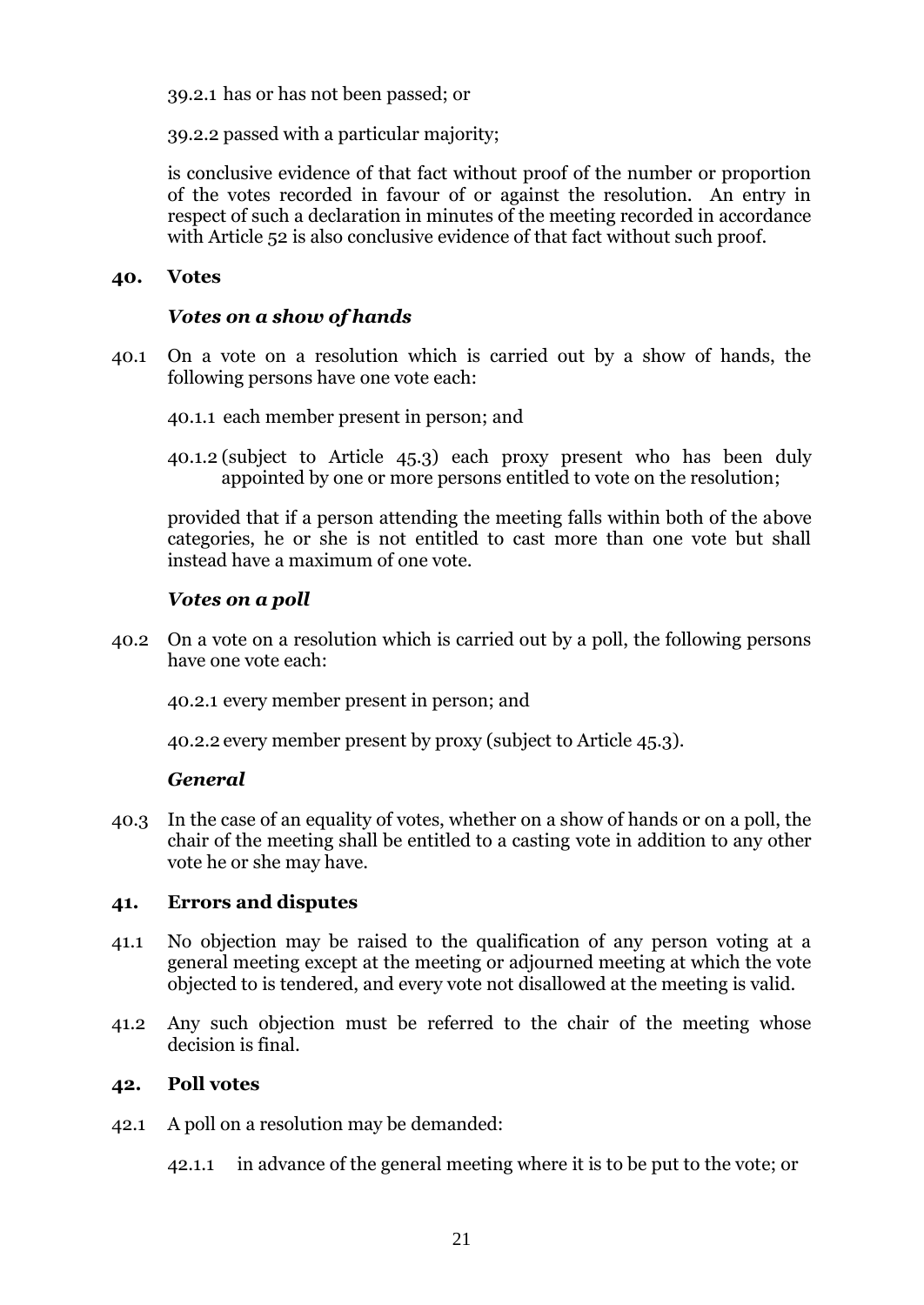39.2.1 has or has not been passed; or

39.2.2 passed with a particular majority;

is conclusive evidence of that fact without proof of the number or proportion of the votes recorded in favour of or against the resolution. An entry in respect of such a declaration in minutes of the meeting recorded in accordance with Article [52](#page-31-3) is also conclusive evidence of that fact without such proof.

#### <span id="page-23-0"></span>**40. Votes**

#### *Votes on a show of hands*

- 40.1 On a vote on a resolution which is carried out by a show of hands, the following persons have one vote each:
	- 40.1.1 each member present in person; and
	- 40.1.2 (subject to Article [45.3\)](#page-26-0) each proxy present who has been duly appointed by one or more persons entitled to vote on the resolution;

provided that if a person attending the meeting falls within both of the above categories, he or she is not entitled to cast more than one vote but shall instead have a maximum of one vote.

#### *Votes on a poll*

40.2 On a vote on a resolution which is carried out by a poll, the following persons have one vote each:

40.2.1 every member present in person; and

40.2.2 every member present by proxy (subject to Article [45.3\)](#page-26-0).

#### *General*

40.3 In the case of an equality of votes, whether on a show of hands or on a poll, the chair of the meeting shall be entitled to a casting vote in addition to any other vote he or she may have.

#### <span id="page-23-1"></span>**41. Errors and disputes**

- 41.1 No objection may be raised to the qualification of any person voting at a general meeting except at the meeting or adjourned meeting at which the vote objected to is tendered, and every vote not disallowed at the meeting is valid.
- 41.2 Any such objection must be referred to the chair of the meeting whose decision is final.

#### <span id="page-23-2"></span>**42. Poll votes**

- 42.1 A poll on a resolution may be demanded:
	- 42.1.1 in advance of the general meeting where it is to be put to the vote; or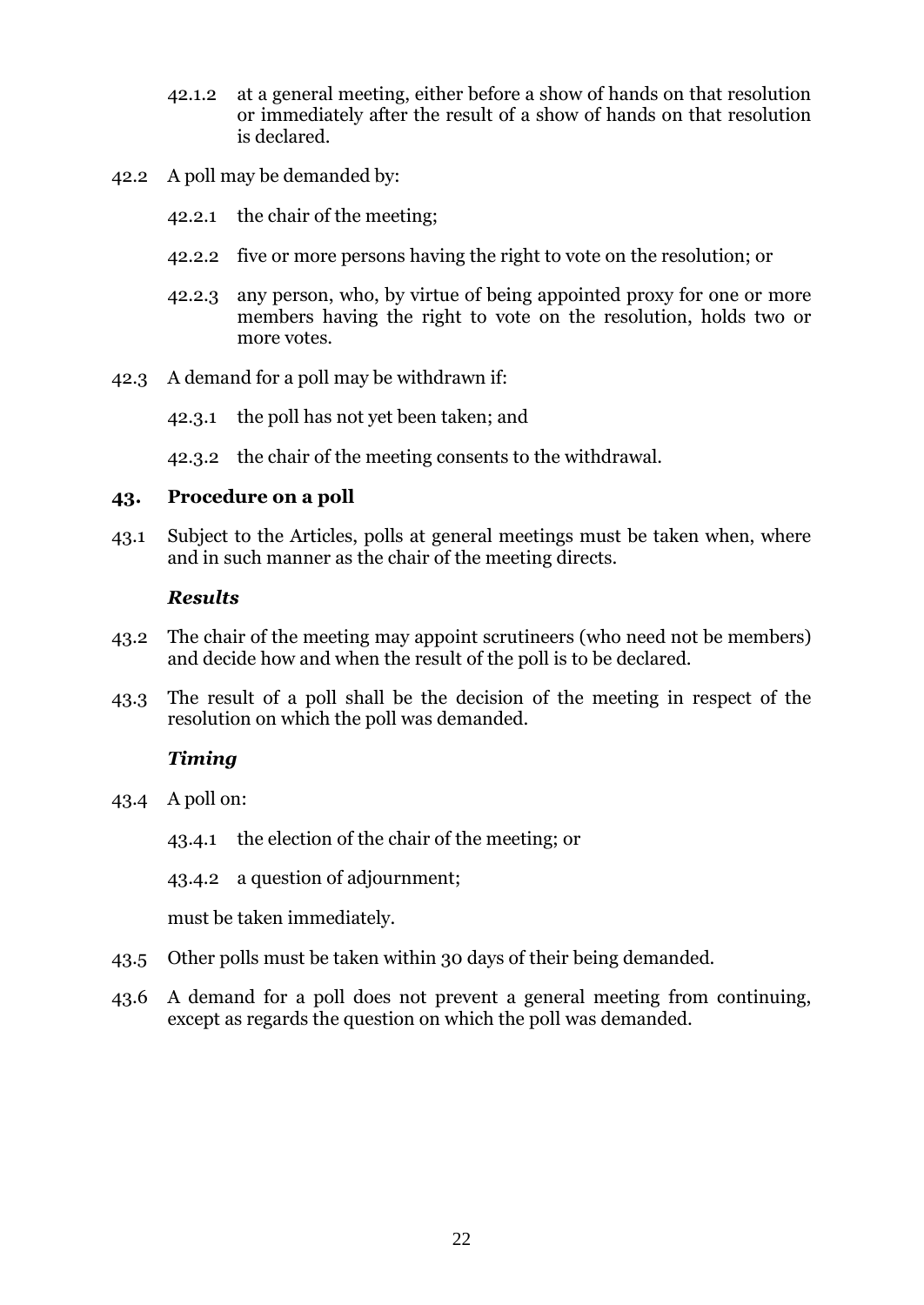- 42.1.2 at a general meeting, either before a show of hands on that resolution or immediately after the result of a show of hands on that resolution is declared.
- 42.2 A poll may be demanded by:
	- 42.2.1 the chair of the meeting;
	- 42.2.2 five or more persons having the right to vote on the resolution; or
	- 42.2.3 any person, who, by virtue of being appointed proxy for one or more members having the right to vote on the resolution, holds two or more votes.
- 42.3 A demand for a poll may be withdrawn if:
	- 42.3.1 the poll has not yet been taken; and

42.3.2 the chair of the meeting consents to the withdrawal.

# <span id="page-24-0"></span>**43. Procedure on a poll**

43.1 Subject to the Articles, polls at general meetings must be taken when, where and in such manner as the chair of the meeting directs.

# *Results*

- 43.2 The chair of the meeting may appoint scrutineers (who need not be members) and decide how and when the result of the poll is to be declared.
- 43.3 The result of a poll shall be the decision of the meeting in respect of the resolution on which the poll was demanded.

# *Timing*

- 43.4 A poll on:
	- 43.4.1 the election of the chair of the meeting; or
	- 43.4.2 a question of adjournment;

must be taken immediately.

- 43.5 Other polls must be taken within 30 days of their being demanded.
- 43.6 A demand for a poll does not prevent a general meeting from continuing, except as regards the question on which the poll was demanded.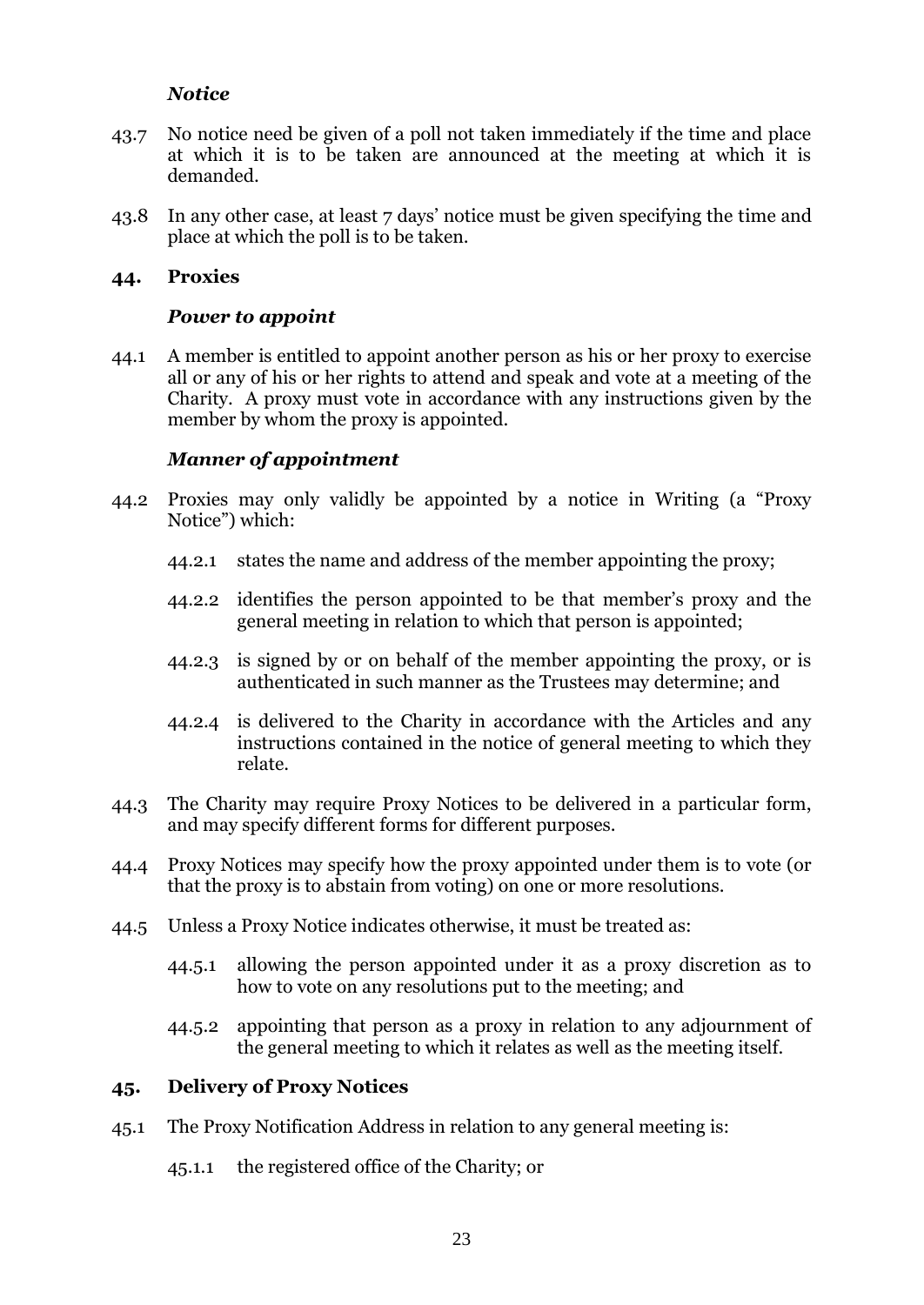# *Notice*

- 43.7 No notice need be given of a poll not taken immediately if the time and place at which it is to be taken are announced at the meeting at which it is demanded.
- 43.8 In any other case, at least 7 days' notice must be given specifying the time and place at which the poll is to be taken.

#### <span id="page-25-0"></span>**44. Proxies**

#### *Power to appoint*

44.1 A member is entitled to appoint another person as his or her proxy to exercise all or any of his or her rights to attend and speak and vote at a meeting of the Charity. A proxy must vote in accordance with any instructions given by the member by whom the proxy is appointed.

### *Manner of appointment*

- 44.2 Proxies may only validly be appointed by a notice in Writing (a "Proxy Notice") which:
	- 44.2.1 states the name and address of the member appointing the proxy;
	- 44.2.2 identifies the person appointed to be that member's proxy and the general meeting in relation to which that person is appointed;
	- 44.2.3 is signed by or on behalf of the member appointing the proxy, or is authenticated in such manner as the Trustees may determine; and
	- 44.2.4 is delivered to the Charity in accordance with the Articles and any instructions contained in the notice of general meeting to which they relate.
- 44.3 The Charity may require Proxy Notices to be delivered in a particular form, and may specify different forms for different purposes.
- 44.4 Proxy Notices may specify how the proxy appointed under them is to vote (or that the proxy is to abstain from voting) on one or more resolutions.
- 44.5 Unless a Proxy Notice indicates otherwise, it must be treated as:
	- 44.5.1 allowing the person appointed under it as a proxy discretion as to how to vote on any resolutions put to the meeting; and
	- 44.5.2 appointing that person as a proxy in relation to any adjournment of the general meeting to which it relates as well as the meeting itself.

### <span id="page-25-1"></span>**45. Delivery of Proxy Notices**

- 45.1 The Proxy Notification Address in relation to any general meeting is:
	- 45.1.1 the registered office of the Charity; or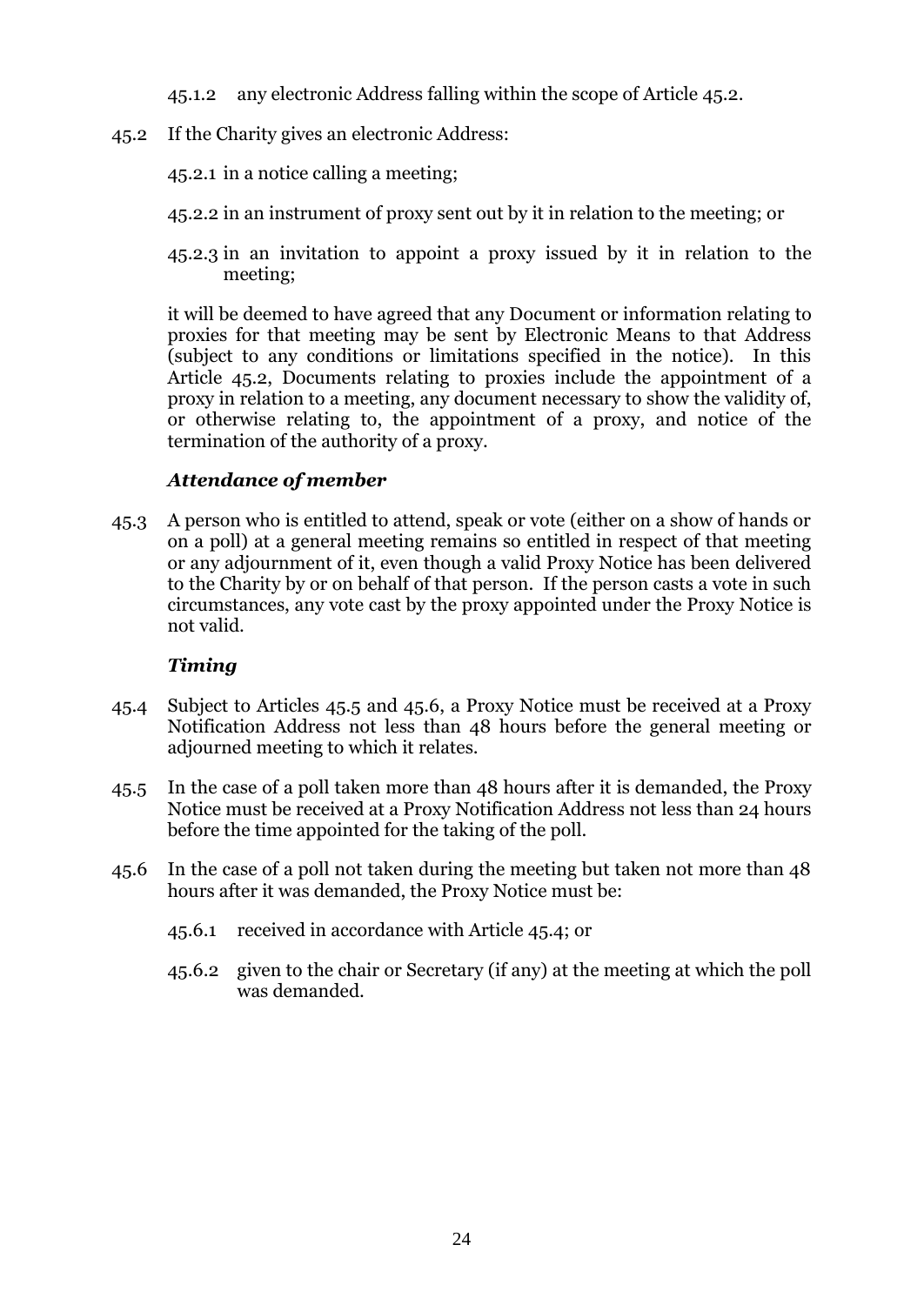45.1.2 any electronic Address falling within the scope of Article [45.2.](#page-26-1)

<span id="page-26-1"></span>45.2 If the Charity gives an electronic Address:

45.2.1 in a notice calling a meeting;

- 45.2.2 in an instrument of proxy sent out by it in relation to the meeting; or
- 45.2.3 in an invitation to appoint a proxy issued by it in relation to the meeting;

it will be deemed to have agreed that any Document or information relating to proxies for that meeting may be sent by Electronic Means to that Address (subject to any conditions or limitations specified in the notice). In this Article [45.2,](#page-26-1) Documents relating to proxies include the appointment of a proxy in relation to a meeting, any document necessary to show the validity of, or otherwise relating to, the appointment of a proxy, and notice of the termination of the authority of a proxy.

# *Attendance of member*

<span id="page-26-0"></span>45.3 A person who is entitled to attend, speak or vote (either on a show of hands or on a poll) at a general meeting remains so entitled in respect of that meeting or any adjournment of it, even though a valid Proxy Notice has been delivered to the Charity by or on behalf of that person. If the person casts a vote in such circumstances, any vote cast by the proxy appointed under the Proxy Notice is not valid.

# *Timing*

- <span id="page-26-4"></span>45.4 Subject to Articles [45.5](#page-26-2) and [45.6,](#page-26-3) a Proxy Notice must be received at a Proxy Notification Address not less than 48 hours before the general meeting or adjourned meeting to which it relates.
- <span id="page-26-2"></span>45.5 In the case of a poll taken more than 48 hours after it is demanded, the Proxy Notice must be received at a Proxy Notification Address not less than 24 hours before the time appointed for the taking of the poll.
- <span id="page-26-3"></span>45.6 In the case of a poll not taken during the meeting but taken not more than 48 hours after it was demanded, the Proxy Notice must be:
	- 45.6.1 received in accordance with Article [45.4;](#page-26-4) or
	- 45.6.2 given to the chair or Secretary (if any) at the meeting at which the poll was demanded.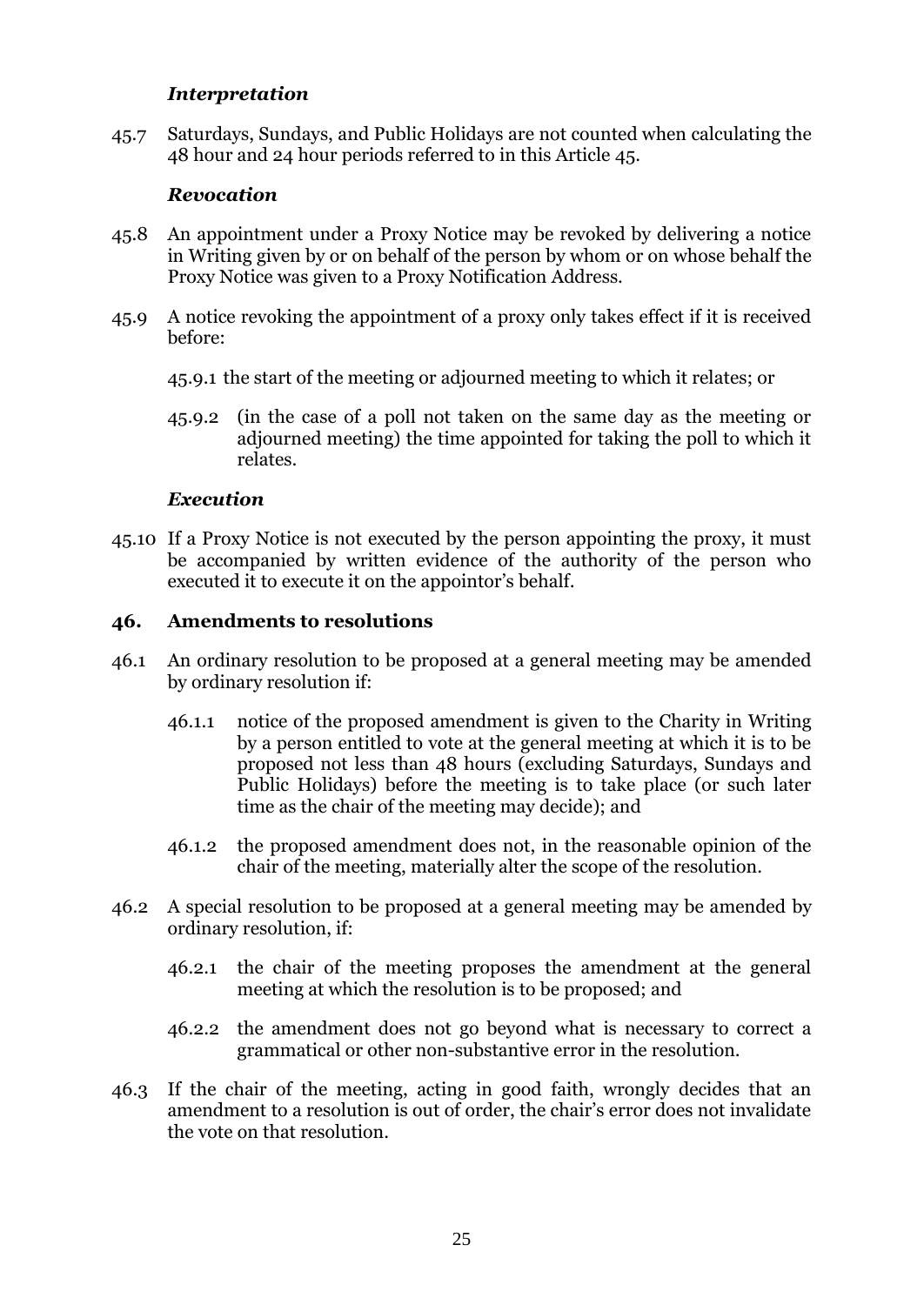### *Interpretation*

45.7 Saturdays, Sundays, and Public Holidays are not counted when calculating the 48 hour and 24 hour periods referred to in this Article [45.](#page-25-1)

#### *Revocation*

- 45.8 An appointment under a Proxy Notice may be revoked by delivering a notice in Writing given by or on behalf of the person by whom or on whose behalf the Proxy Notice was given to a Proxy Notification Address.
- 45.9 A notice revoking the appointment of a proxy only takes effect if it is received before:
	- 45.9.1 the start of the meeting or adjourned meeting to which it relates; or
	- 45.9.2 (in the case of a poll not taken on the same day as the meeting or adjourned meeting) the time appointed for taking the poll to which it relates.

#### *Execution*

45.10 If a Proxy Notice is not executed by the person appointing the proxy, it must be accompanied by written evidence of the authority of the person who executed it to execute it on the appointor's behalf.

#### <span id="page-27-0"></span>**46. Amendments to resolutions**

- 46.1 An ordinary resolution to be proposed at a general meeting may be amended by ordinary resolution if:
	- 46.1.1 notice of the proposed amendment is given to the Charity in Writing by a person entitled to vote at the general meeting at which it is to be proposed not less than 48 hours (excluding Saturdays, Sundays and Public Holidays) before the meeting is to take place (or such later time as the chair of the meeting may decide); and
	- 46.1.2 the proposed amendment does not, in the reasonable opinion of the chair of the meeting, materially alter the scope of the resolution.
- 46.2 A special resolution to be proposed at a general meeting may be amended by ordinary resolution, if:
	- 46.2.1 the chair of the meeting proposes the amendment at the general meeting at which the resolution is to be proposed; and
	- 46.2.2 the amendment does not go beyond what is necessary to correct a grammatical or other non-substantive error in the resolution.
- 46.3 If the chair of the meeting, acting in good faith, wrongly decides that an amendment to a resolution is out of order, the chair's error does not invalidate the vote on that resolution.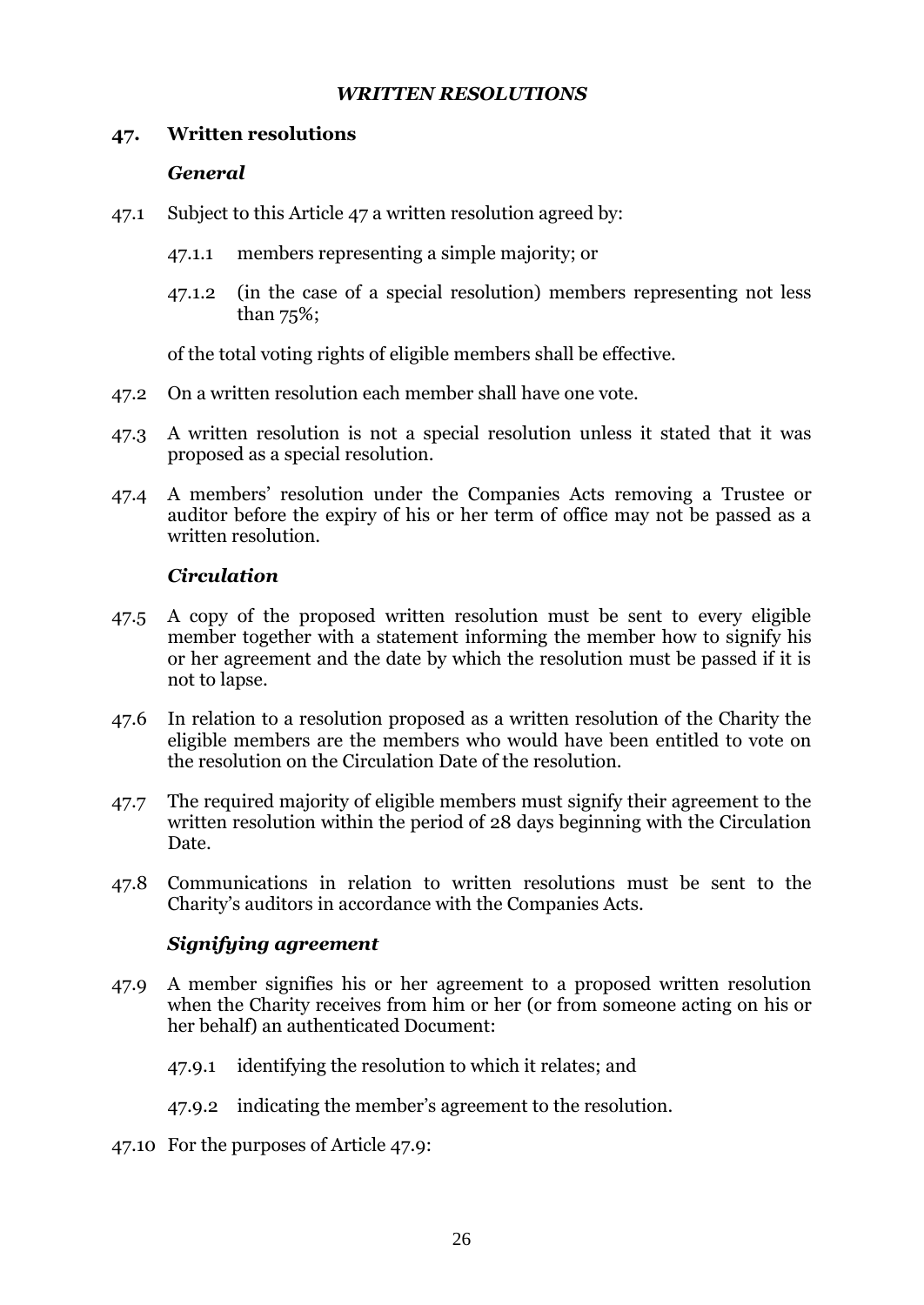# *WRITTEN RESOLUTIONS*

# <span id="page-28-1"></span><span id="page-28-0"></span>**47. Written resolutions**

# *General*

- 47.1 Subject to this Article [47](#page-28-1) a written resolution agreed by:
	- 47.1.1 members representing a simple majority; or
	- 47.1.2 (in the case of a special resolution) members representing not less than 75%;

of the total voting rights of eligible members shall be effective.

- 47.2 On a written resolution each member shall have one vote.
- 47.3 A written resolution is not a special resolution unless it stated that it was proposed as a special resolution.
- 47.4 A members' resolution under the Companies Acts removing a Trustee or auditor before the expiry of his or her term of office may not be passed as a written resolution.

# *Circulation*

- 47.5 A copy of the proposed written resolution must be sent to every eligible member together with a statement informing the member how to signify his or her agreement and the date by which the resolution must be passed if it is not to lapse.
- 47.6 In relation to a resolution proposed as a written resolution of the Charity the eligible members are the members who would have been entitled to vote on the resolution on the Circulation Date of the resolution.
- 47.7 The required majority of eligible members must signify their agreement to the written resolution within the period of 28 days beginning with the Circulation Date.
- 47.8 Communications in relation to written resolutions must be sent to the Charity's auditors in accordance with the Companies Acts.

# *Signifying agreement*

- <span id="page-28-2"></span>47.9 A member signifies his or her agreement to a proposed written resolution when the Charity receives from him or her (or from someone acting on his or her behalf) an authenticated Document:
	- 47.9.1 identifying the resolution to which it relates; and
	- 47.9.2 indicating the member's agreement to the resolution.
- 47.10 For the purposes of Article [47.9:](#page-28-2)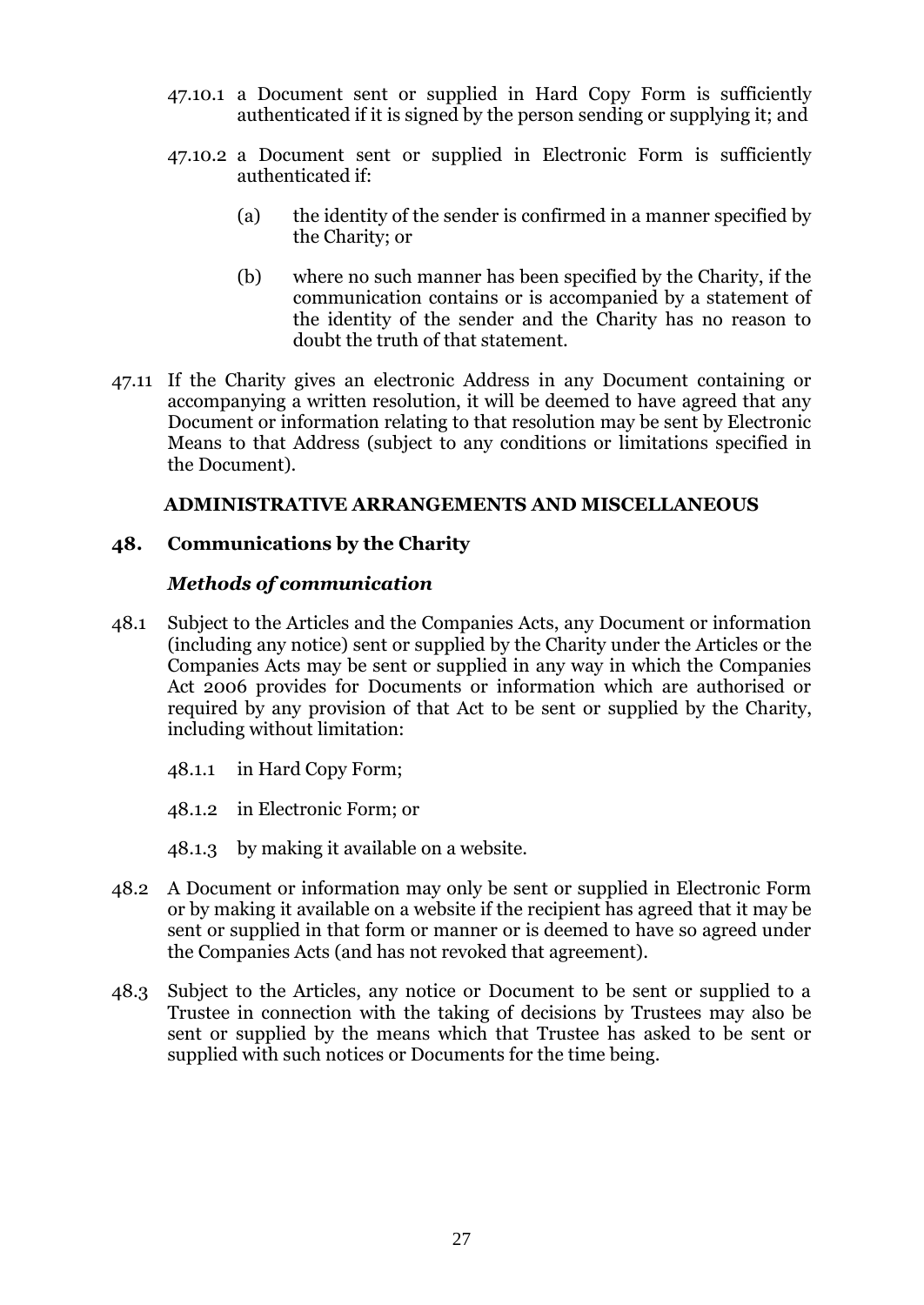- 47.10.1 a Document sent or supplied in Hard Copy Form is sufficiently authenticated if it is signed by the person sending or supplying it; and
- 47.10.2 a Document sent or supplied in Electronic Form is sufficiently authenticated if:
	- (a) the identity of the sender is confirmed in a manner specified by the Charity; or
	- (b) where no such manner has been specified by the Charity, if the communication contains or is accompanied by a statement of the identity of the sender and the Charity has no reason to doubt the truth of that statement.
- 47.11 If the Charity gives an electronic Address in any Document containing or accompanying a written resolution, it will be deemed to have agreed that any Document or information relating to that resolution may be sent by Electronic Means to that Address (subject to any conditions or limitations specified in the Document).

### **ADMINISTRATIVE ARRANGEMENTS AND MISCELLANEOUS**

### <span id="page-29-1"></span><span id="page-29-0"></span>**48. Communications by the Charity**

### *Methods of communication*

- 48.1 Subject to the Articles and the Companies Acts, any Document or information (including any notice) sent or supplied by the Charity under the Articles or the Companies Acts may be sent or supplied in any way in which the Companies Act 2006 provides for Documents or information which are authorised or required by any provision of that Act to be sent or supplied by the Charity, including without limitation:
	- 48.1.1 in Hard Copy Form;
	- 48.1.2 in Electronic Form; or
	- 48.1.3 by making it available on a website.
- 48.2 A Document or information may only be sent or supplied in Electronic Form or by making it available on a website if the recipient has agreed that it may be sent or supplied in that form or manner or is deemed to have so agreed under the Companies Acts (and has not revoked that agreement).
- 48.3 Subject to the Articles, any notice or Document to be sent or supplied to a Trustee in connection with the taking of decisions by Trustees may also be sent or supplied by the means which that Trustee has asked to be sent or supplied with such notices or Documents for the time being.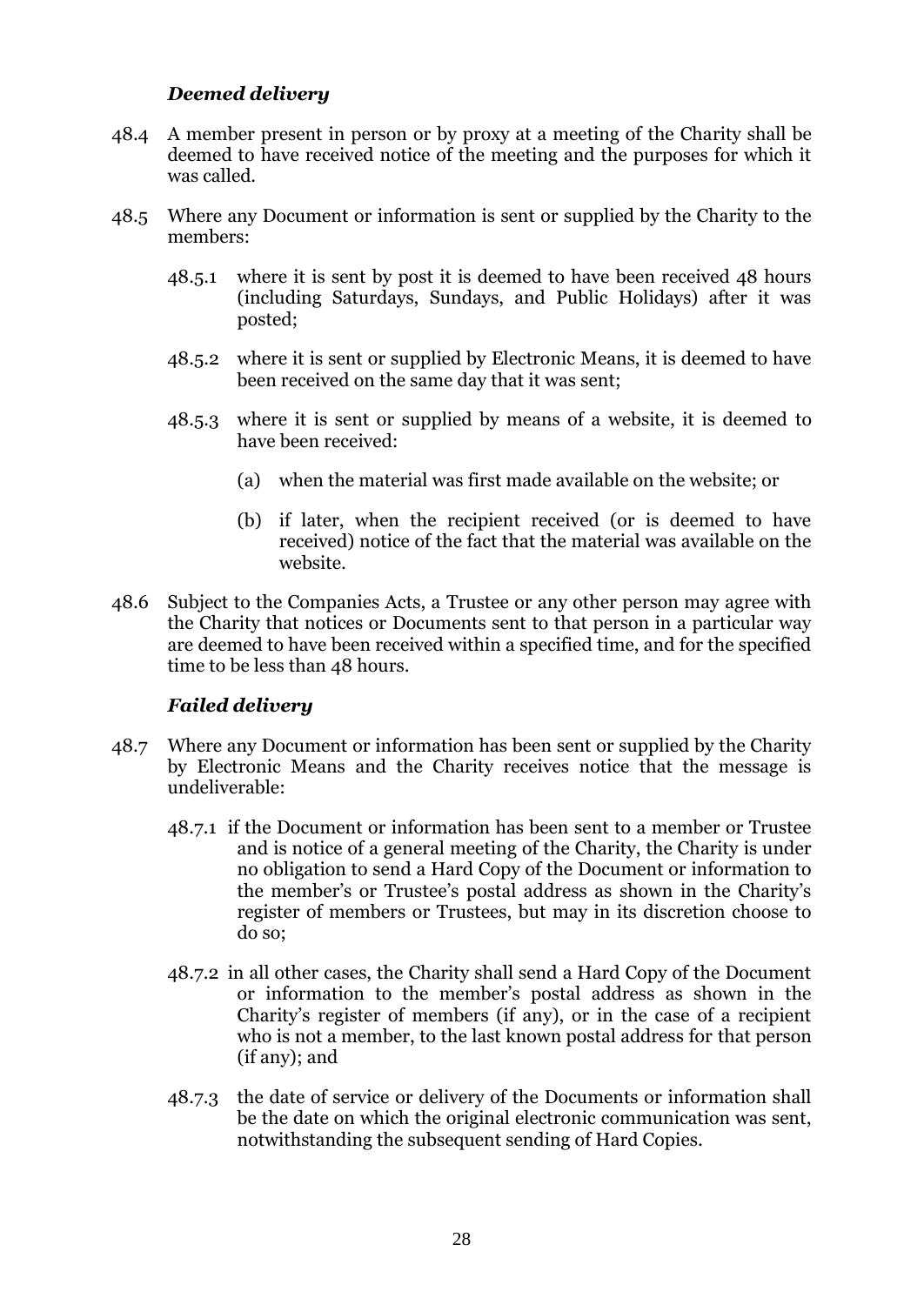# *Deemed delivery*

- 48.4 A member present in person or by proxy at a meeting of the Charity shall be deemed to have received notice of the meeting and the purposes for which it was called.
- 48.5 Where any Document or information is sent or supplied by the Charity to the members:
	- 48.5.1 where it is sent by post it is deemed to have been received 48 hours (including Saturdays, Sundays, and Public Holidays) after it was posted;
	- 48.5.2 where it is sent or supplied by Electronic Means, it is deemed to have been received on the same day that it was sent;
	- 48.5.3 where it is sent or supplied by means of a website, it is deemed to have been received:
		- (a) when the material was first made available on the website; or
		- (b) if later, when the recipient received (or is deemed to have received) notice of the fact that the material was available on the website.
- 48.6 Subject to the Companies Acts, a Trustee or any other person may agree with the Charity that notices or Documents sent to that person in a particular way are deemed to have been received within a specified time, and for the specified time to be less than 48 hours.

### *Failed delivery*

- 48.7 Where any Document or information has been sent or supplied by the Charity by Electronic Means and the Charity receives notice that the message is undeliverable:
	- 48.7.1 if the Document or information has been sent to a member or Trustee and is notice of a general meeting of the Charity, the Charity is under no obligation to send a Hard Copy of the Document or information to the member's or Trustee's postal address as shown in the Charity's register of members or Trustees, but may in its discretion choose to do so;
	- 48.7.2 in all other cases, the Charity shall send a Hard Copy of the Document or information to the member's postal address as shown in the Charity's register of members (if any), or in the case of a recipient who is not a member, to the last known postal address for that person (if any); and
	- 48.7.3 the date of service or delivery of the Documents or information shall be the date on which the original electronic communication was sent, notwithstanding the subsequent sending of Hard Copies.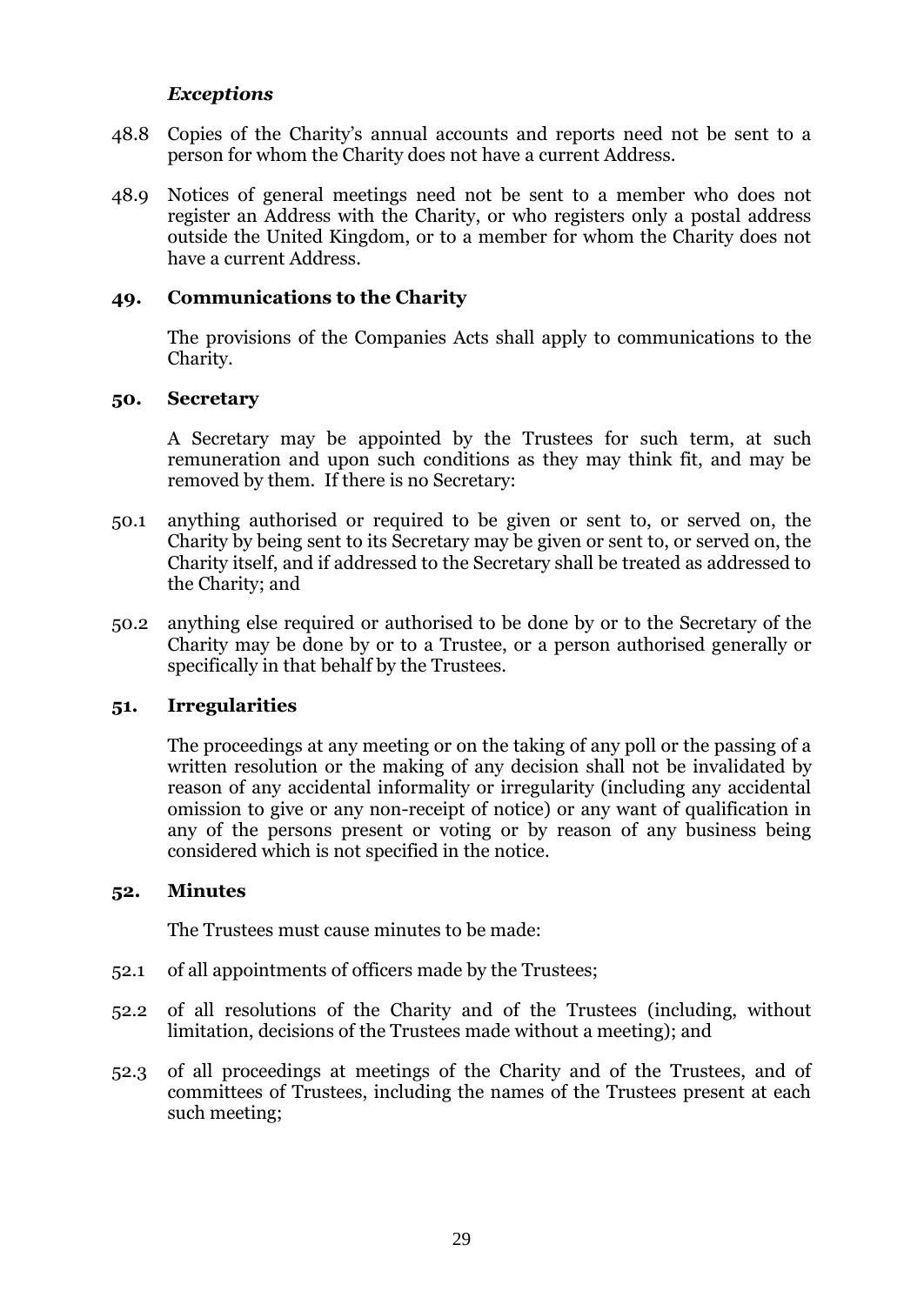#### *Exceptions*

- 48.8 Copies of the Charity's annual accounts and reports need not be sent to a person for whom the Charity does not have a current Address.
- 48.9 Notices of general meetings need not be sent to a member who does not register an Address with the Charity, or who registers only a postal address outside the United Kingdom, or to a member for whom the Charity does not have a current Address.

#### <span id="page-31-0"></span>**49. Communications to the Charity**

The provisions of the Companies Acts shall apply to communications to the Charity.

#### <span id="page-31-1"></span>**50. Secretary**

A Secretary may be appointed by the Trustees for such term, at such remuneration and upon such conditions as they may think fit, and may be removed by them. If there is no Secretary:

- 50.1 anything authorised or required to be given or sent to, or served on, the Charity by being sent to its Secretary may be given or sent to, or served on, the Charity itself, and if addressed to the Secretary shall be treated as addressed to the Charity; and
- 50.2 anything else required or authorised to be done by or to the Secretary of the Charity may be done by or to a Trustee, or a person authorised generally or specifically in that behalf by the Trustees.

#### <span id="page-31-2"></span>**51. Irregularities**

The proceedings at any meeting or on the taking of any poll or the passing of a written resolution or the making of any decision shall not be invalidated by reason of any accidental informality or irregularity (including any accidental omission to give or any non-receipt of notice) or any want of qualification in any of the persons present or voting or by reason of any business being considered which is not specified in the notice.

#### <span id="page-31-3"></span>**52. Minutes**

The Trustees must cause minutes to be made:

- 52.1 of all appointments of officers made by the Trustees;
- 52.2 of all resolutions of the Charity and of the Trustees (including, without limitation, decisions of the Trustees made without a meeting); and
- 52.3 of all proceedings at meetings of the Charity and of the Trustees, and of committees of Trustees, including the names of the Trustees present at each such meeting;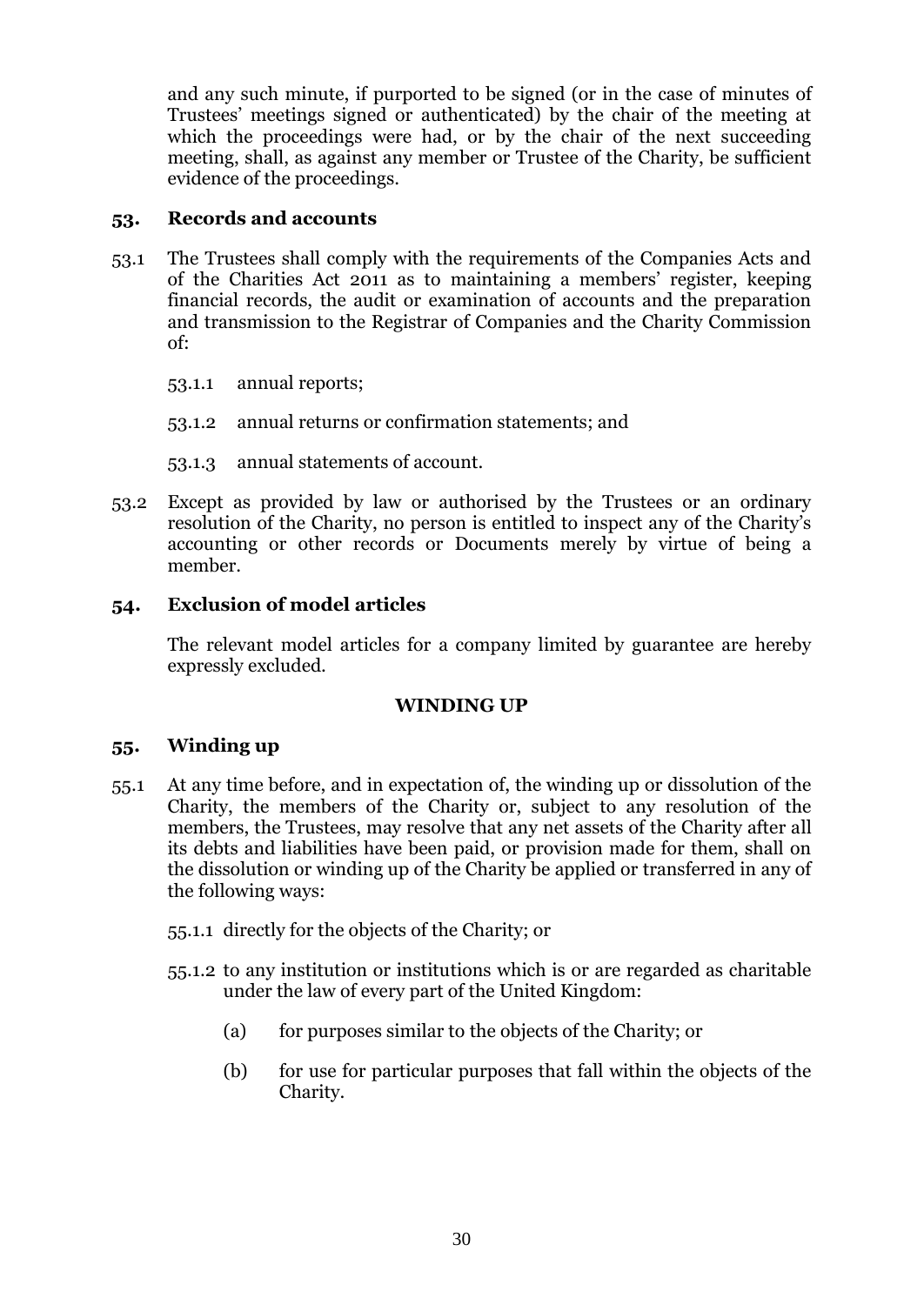and any such minute, if purported to be signed (or in the case of minutes of Trustees' meetings signed or authenticated) by the chair of the meeting at which the proceedings were had, or by the chair of the next succeeding meeting, shall, as against any member or Trustee of the Charity, be sufficient evidence of the proceedings.

# <span id="page-32-0"></span>**53. Records and accounts**

- 53.1 The Trustees shall comply with the requirements of the Companies Acts and of the Charities Act 2011 as to maintaining a members' register, keeping financial records, the audit or examination of accounts and the preparation and transmission to the Registrar of Companies and the Charity Commission of:
	- 53.1.1 annual reports;
	- 53.1.2 annual returns or confirmation statements; and
	- 53.1.3 annual statements of account.
- 53.2 Except as provided by law or authorised by the Trustees or an ordinary resolution of the Charity, no person is entitled to inspect any of the Charity's accounting or other records or Documents merely by virtue of being a member.

# <span id="page-32-1"></span>**54. Exclusion of model articles**

The relevant model articles for a company limited by guarantee are hereby expressly excluded.

### **WINDING UP**

### <span id="page-32-3"></span><span id="page-32-2"></span>**55. Winding up**

- <span id="page-32-4"></span>55.1 At any time before, and in expectation of, the winding up or dissolution of the Charity, the members of the Charity or, subject to any resolution of the members, the Trustees, may resolve that any net assets of the Charity after all its debts and liabilities have been paid, or provision made for them, shall on the dissolution or winding up of the Charity be applied or transferred in any of the following ways:
	- 55.1.1 directly for the objects of the Charity; or
	- 55.1.2 to any institution or institutions which is or are regarded as charitable under the law of every part of the United Kingdom:
		- (a) for purposes similar to the objects of the Charity; or
		- (b) for use for particular purposes that fall within the objects of the Charity.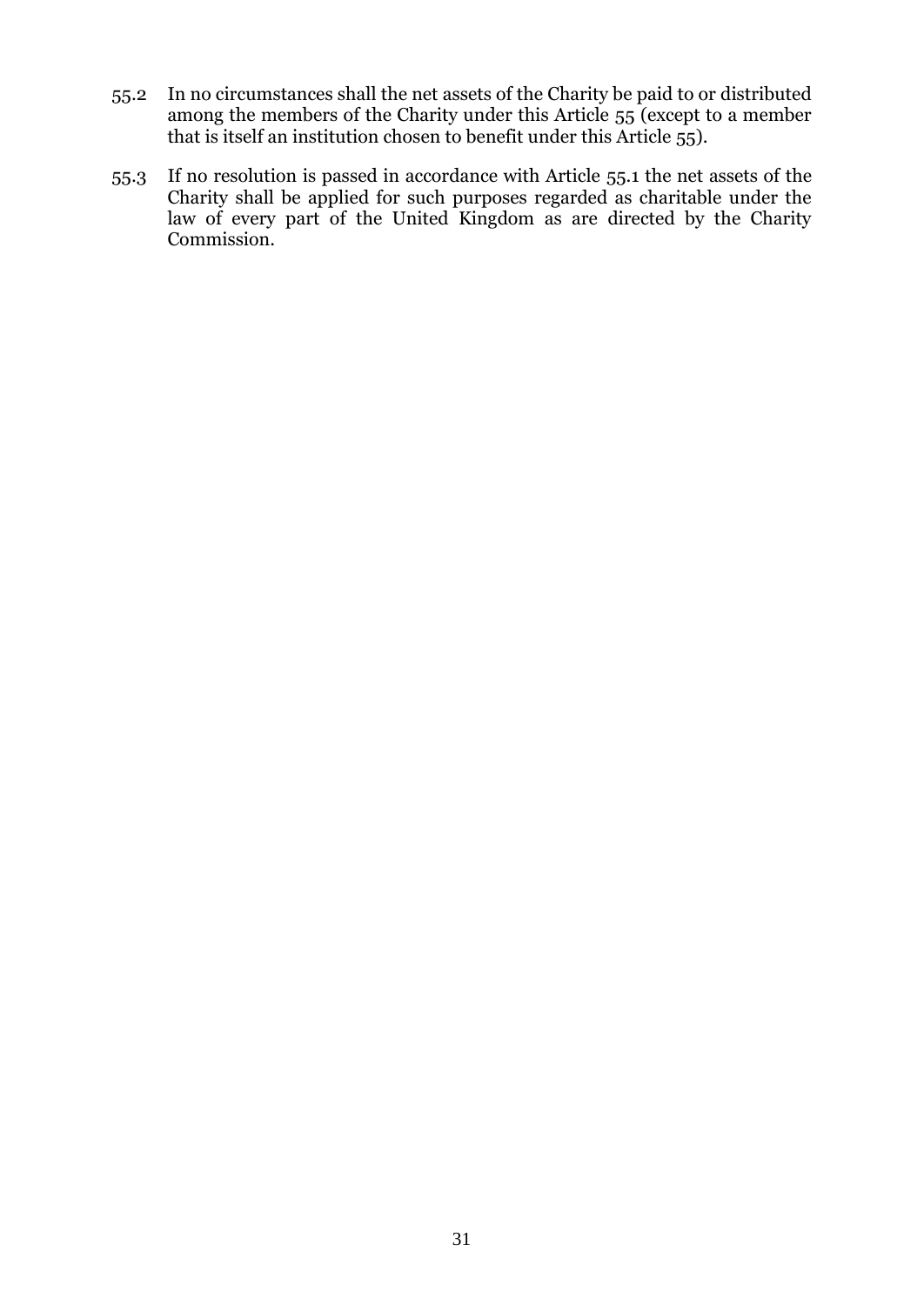- 55.2 In no circumstances shall the net assets of the Charity be paid to or distributed among the members of the Charity under this Article [55](#page-32-3) (except to a member that is itself an institution chosen to benefit under this Article [55\)](#page-32-3).
- 55.3 If no resolution is passed in accordance with Article [55.1](#page-32-4) the net assets of the Charity shall be applied for such purposes regarded as charitable under the law of every part of the United Kingdom as are directed by the Charity Commission.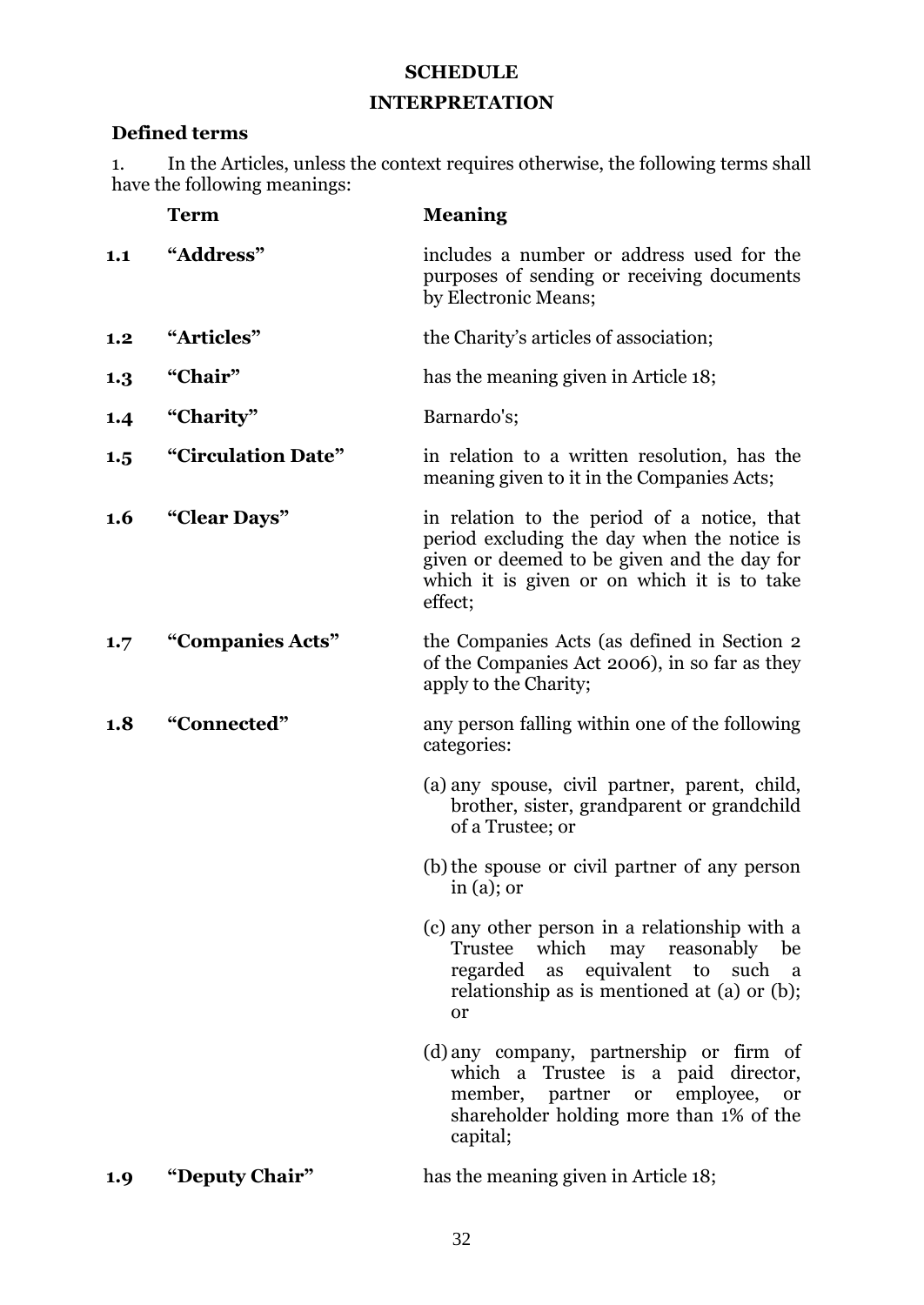# **SCHEDULE**

# **INTERPRETATION**

# <span id="page-34-1"></span><span id="page-34-0"></span>**Defined terms**

1. In the Articles, unless the context requires otherwise, the following terms shall have the following meanings:

|     | <b>Term</b>        | <b>Meaning</b>                                                                                                                                                                                      |
|-----|--------------------|-----------------------------------------------------------------------------------------------------------------------------------------------------------------------------------------------------|
| 1.1 | "Address"          | includes a number or address used for the<br>purposes of sending or receiving documents<br>by Electronic Means;                                                                                     |
| 1.2 | "Articles"         | the Charity's articles of association;                                                                                                                                                              |
| 1.3 | "Chair"            | has the meaning given in Article 18;                                                                                                                                                                |
| 1.4 | "Charity"          | Barnardo's;                                                                                                                                                                                         |
| 1.5 | "Circulation Date" | in relation to a written resolution, has the<br>meaning given to it in the Companies Acts;                                                                                                          |
| 1.6 | "Clear Days"       | in relation to the period of a notice, that<br>period excluding the day when the notice is<br>given or deemed to be given and the day for<br>which it is given or on which it is to take<br>effect; |
| 1.7 | "Companies Acts"   | the Companies Acts (as defined in Section 2<br>of the Companies Act 2006), in so far as they<br>apply to the Charity;                                                                               |
| 1.8 | "Connected"        | any person falling within one of the following<br>categories:                                                                                                                                       |
|     |                    | (a) any spouse, civil partner, parent, child,<br>brother, sister, grandparent or grandchild<br>of a Trustee; or                                                                                     |
|     |                    | (b) the spouse or civil partner of any person<br>in $(a)$ ; or                                                                                                                                      |
|     |                    | (c) any other person in a relationship with a<br>Trustee which may reasonably<br>be<br>regarded as equivalent to such a<br>relationship as is mentioned at (a) or (b);<br>or                        |
|     |                    | (d) any company, partnership or firm of<br>which a Trustee is a paid director,<br>member, partner or employee,<br><b>or</b><br>shareholder holding more than 1% of the<br>capital;                  |
|     |                    |                                                                                                                                                                                                     |

# **1.9 "Deputy Chair"** has the meaning given in Article 18;